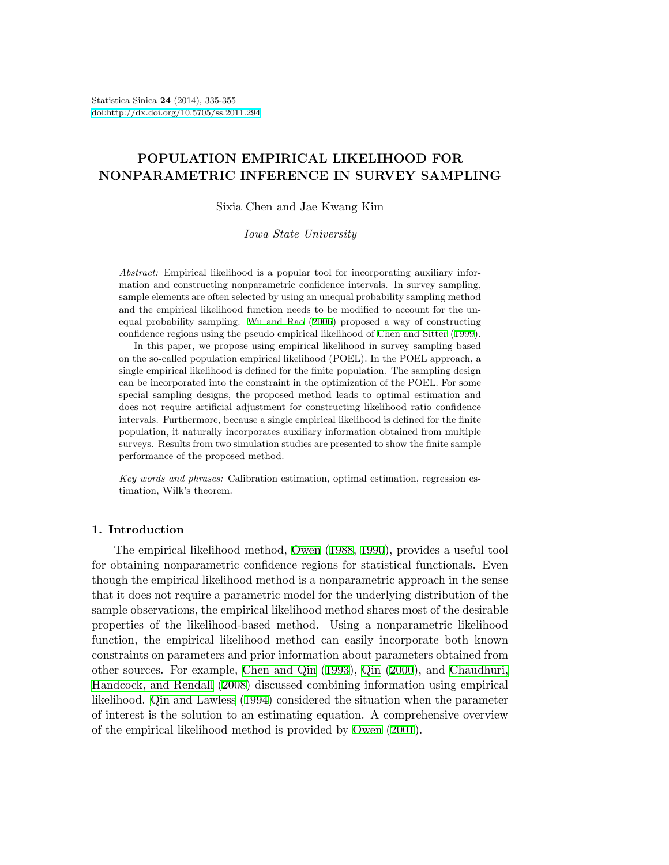# **POPULATION EMPIRICAL LIKELIHOOD FOR NONPARAMETRIC INFERENCE IN SURVEY SAMPLING**

Sixia Chen and Jae Kwang Kim

*Iowa State University*

*Abstract:* Empirical likelihood is a popular tool for incorporating auxiliary information and constructing nonparametric confidence intervals. In survey sampling, sample elements are often selected by using an unequal probability sampling method and the empirical likelihood function needs to be modified to account for the unequal probability sampling. [Wu and Rao](#page-20-0) ([2006](#page-20-0)) proposed a way of constructing confidence regions using the pseudo empirical likelihood of [Chen and Sitter](#page-19-0) ([1999](#page-19-0)).

In this paper, we propose using empirical likelihood in survey sampling based on the so-called population empirical likelihood (POEL). In the POEL approach, a single empirical likelihood is defined for the finite population. The sampling design can be incorporated into the constraint in the optimization of the POEL. For some special sampling designs, the proposed method leads to optimal estimation and does not require artificial adjustment for constructing likelihood ratio confidence intervals. Furthermore, because a single empirical likelihood is defined for the finite population, it naturally incorporates auxiliary information obtained from multiple surveys. Results from two simulation studies are presented to show the finite sample performance of the proposed method.

*Key words and phrases:* Calibration estimation, optimal estimation, regression estimation, Wilk's theorem.

## **1. Introduction**

The empirical likelihood method, [Owen](#page-20-1) ([1988,](#page-20-1) [1990](#page-20-2)), provides a useful tool for obtaining nonparametric confidence regions for statistical functionals. Even though the empirical likelihood method is a nonparametric approach in the sense that it does not require a parametric model for the underlying distribution of the sample observations, the empirical likelihood method shares most of the desirable properties of the likelihood-based method. Using a nonparametric likelihood function, the empirical likelihood method can easily incorporate both known constraints on parameters and prior information about parameters obtained from other sources. For example, [Chen and Qin](#page-19-1) [\(1993\)](#page-19-1), [Qin](#page-20-3) ([2000\)](#page-20-3), and [Chaudhuri,](#page-19-2) [Handcock, and Rendall](#page-19-2) [\(2008](#page-19-2)) discussed combining information using empirical likelihood. [Qin and Lawless](#page-20-4) ([1994](#page-20-4)) considered the situation when the parameter of interest is the solution to an estimating equation. A comprehensive overview of the empirical likelihood method is provided by [Owen](#page-20-5) ([2001\)](#page-20-5).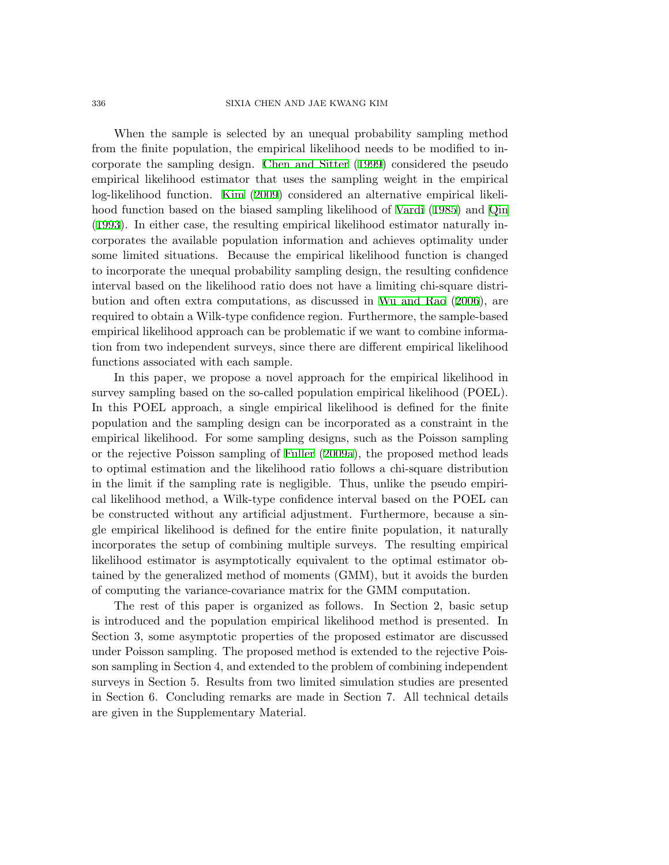#### 336 SIXIA CHEN AND JAE KWANG KIM

When the sample is selected by an unequal probability sampling method from the finite population, the empirical likelihood needs to be modified to incorporate the sampling design. [Chen and Sitter](#page-19-0) ([1999\)](#page-19-0) considered the pseudo empirical likelihood estimator that uses the sampling weight in the empirical log-likelihood function. [Kim](#page-20-6) ([2009\)](#page-20-6) considered an alternative empirical likelihood function based on the biased sampling likelihood of [Vardi](#page-20-7) [\(1985](#page-20-7)) and [Qin](#page-20-8) [\(1993](#page-20-8)). In either case, the resulting empirical likelihood estimator naturally incorporates the available population information and achieves optimality under some limited situations. Because the empirical likelihood function is changed to incorporate the unequal probability sampling design, the resulting confidence interval based on the likelihood ratio does not have a limiting chi-square distribution and often extra computations, as discussed in [Wu and Rao](#page-20-0) [\(2006\)](#page-20-0), are required to obtain a Wilk-type confidence region. Furthermore, the sample-based empirical likelihood approach can be problematic if we want to combine information from two independent surveys, since there are different empirical likelihood functions associated with each sample.

In this paper, we propose a novel approach for the empirical likelihood in survey sampling based on the so-called population empirical likelihood (POEL). In this POEL approach, a single empirical likelihood is defined for the finite population and the sampling design can be incorporated as a constraint in the empirical likelihood. For some sampling designs, such as the Poisson sampling or the rejective Poisson sampling of [Fuller](#page-19-3) [\(2009a\)](#page-19-3), the proposed method leads to optimal estimation and the likelihood ratio follows a chi-square distribution in the limit if the sampling rate is negligible. Thus, unlike the pseudo empirical likelihood method, a Wilk-type confidence interval based on the POEL can be constructed without any artificial adjustment. Furthermore, because a single empirical likelihood is defined for the entire finite population, it naturally incorporates the setup of combining multiple surveys. The resulting empirical likelihood estimator is asymptotically equivalent to the optimal estimator obtained by the generalized method of moments (GMM), but it avoids the burden of computing the variance-covariance matrix for the GMM computation.

The rest of this paper is organized as follows. In Section 2, basic setup is introduced and the population empirical likelihood method is presented. In Section 3, some asymptotic properties of the proposed estimator are discussed under Poisson sampling. The proposed method is extended to the rejective Poisson sampling in Section 4, and extended to the problem of combining independent surveys in Section 5. Results from two limited simulation studies are presented in Section 6. Concluding remarks are made in Section 7. All technical details are given in the Supplementary Material.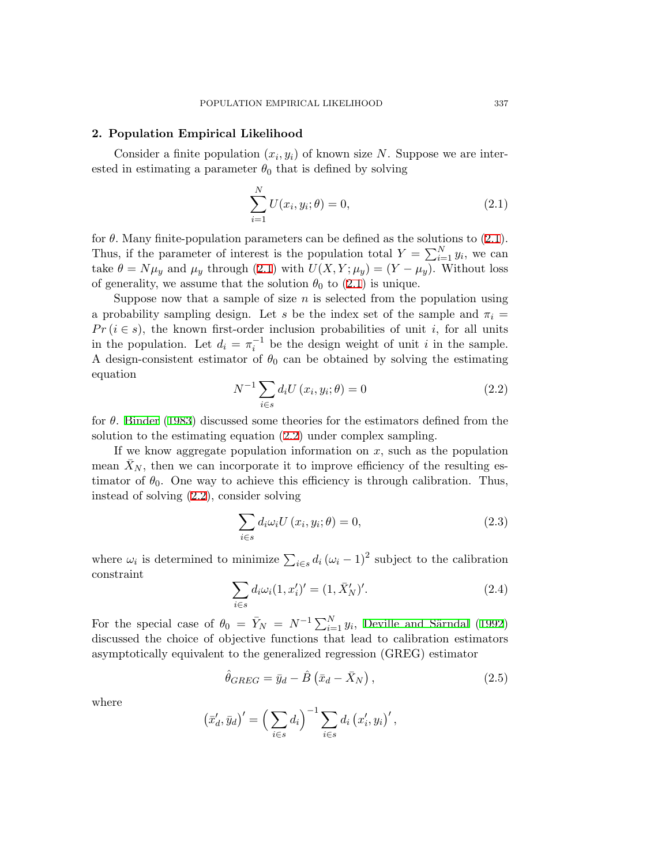## **2. Population Empirical Likelihood**

Consider a finite population  $(x_i, y_i)$  of known size N. Suppose we are interested in estimating a parameter  $\theta_0$  that is defined by solving

<span id="page-2-0"></span>
$$
\sum_{i=1}^{N} U(x_i, y_i; \theta) = 0,
$$
\n(2.1)

for  $\theta$ . Many finite-population parameters can be defined as the solutions to ([2.1](#page-2-0)). Thus, if the parameter of interest is the population total  $Y = \sum_{i=1}^{N} y_i$ , we can take  $\theta = N\mu_y$  and  $\mu_y$  through [\(2.1](#page-2-0)) with  $U(X, Y; \mu_y) = (Y - \mu_y)$ . Without loss of generality, we assume that the solution  $\theta_0$  to [\(2.1](#page-2-0)) is unique.

Suppose now that a sample of size  $n$  is selected from the population using a probability sampling design. Let *s* be the index set of the sample and  $\pi_i$  $Pr(i \in s)$ , the known first-order inclusion probabilities of unit *i*, for all units in the population. Let  $d_i = \pi_i^{-1}$  be the design weight of unit *i* in the sample. A design-consistent estimator of  $\theta_0$  can be obtained by solving the estimating equation

$$
N^{-1} \sum_{i \in s} d_i U(x_i, y_i; \theta) = 0
$$
\n(2.2)

<span id="page-2-1"></span>for *θ*. [Binder](#page-19-4) ([1983\)](#page-19-4) discussed some theories for the estimators defined from the solution to the estimating equation ([2.2](#page-2-1)) under complex sampling.

If we know aggregate population information on *x,* such as the population mean  $\bar{X}_N$ , then we can incorporate it to improve efficiency of the resulting estimator of  $\theta_0$ . One way to achieve this efficiency is through calibration. Thus, instead of solving ([2.2\)](#page-2-1), consider solving

<span id="page-2-4"></span>
$$
\sum_{i \in s} d_i \omega_i U(x_i, y_i; \theta) = 0,
$$
\n(2.3)

<span id="page-2-2"></span>where  $\omega_i$  is determined to minimize  $\sum_{i \in s} d_i (\omega_i - 1)^2$  subject to the calibration constraint

<span id="page-2-3"></span>
$$
\sum_{i \in s} d_i \omega_i (1, x'_i)' = (1, \bar{X}'_N)'. \tag{2.4}
$$

For the special case of  $\theta_0 = \bar{Y}_N = N^{-1} \sum_{i=1}^N y_i$ , Deville and Särndal [\(1992](#page-19-5)) discussed the choice of objective functions that lead to calibration estimators asymptotically equivalent to the generalized regression (GREG) estimator

$$
\hat{\theta}_{GREG} = \bar{y}_d - \hat{B} \left( \bar{x}_d - \bar{X}_N \right),\tag{2.5}
$$

where

$$
(\bar{x}'_d, \bar{y}_d)' = \left(\sum_{i \in s} d_i\right)^{-1} \sum_{i \in s} d_i (x'_i, y_i)',
$$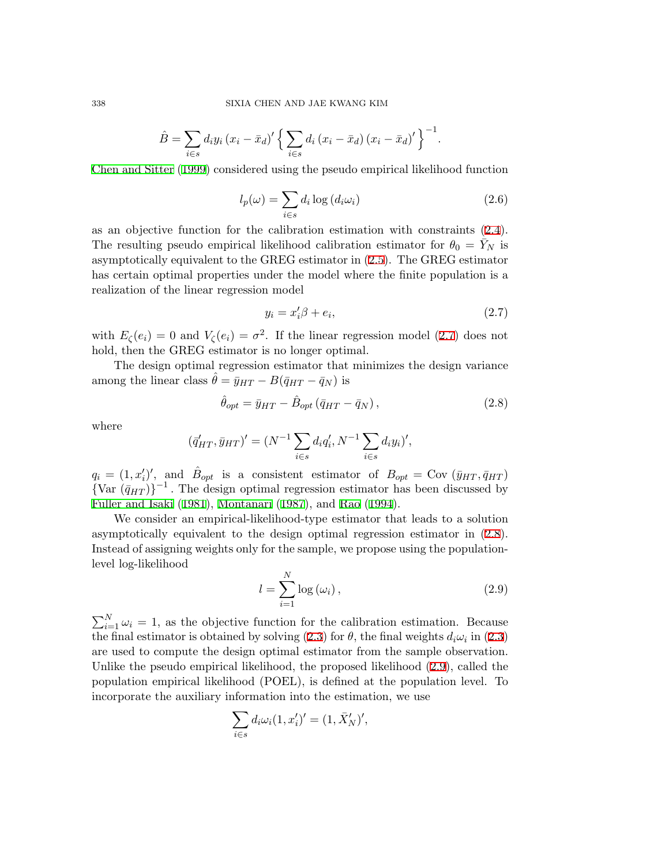$$
\hat{B} = \sum_{i \in s} d_i y_i (x_i - \bar{x}_d)' \left\{ \sum_{i \in s} d_i (x_i - \bar{x}_d) (x_i - \bar{x}_d)' \right\}^{-1}.
$$

[Chen and Sitter](#page-19-0) [\(1999](#page-19-0)) considered using the pseudo empirical likelihood function

$$
l_p(\omega) = \sum_{i \in s} d_i \log \left( d_i \omega_i \right) \tag{2.6}
$$

as an objective function for the calibration estimation with constraints ([2.4](#page-2-2)). The resulting pseudo empirical likelihood calibration estimator for  $\theta_0 = Y_N$  is asymptotically equivalent to the GREG estimator in ([2.5](#page-2-3)). The GREG estimator has certain optimal properties under the model where the finite population is a realization of the linear regression model

<span id="page-3-1"></span><span id="page-3-0"></span>
$$
y_i = x_i' \beta + e_i,\tag{2.7}
$$

with  $E_\zeta(e_i) = 0$  and  $V_\zeta(e_i) = \sigma^2$ . If the linear regression model ([2.7](#page-3-0)) does not hold, then the GREG estimator is no longer optimal.

The design optimal regression estimator that minimizes the design variance among the linear class  $\hat{\theta} = \bar{y}_{HT} - B(\bar{q}_{HT} - \bar{q}_N)$  is

$$
\hat{\theta}_{opt} = \bar{y}_{HT} - \hat{B}_{opt} (\bar{q}_{HT} - \bar{q}_N), \qquad (2.8)
$$

where

$$
(\bar{q}'_{HT}, \bar{y}_{HT})' = (N^{-1} \sum_{i \in s} d_i q'_i, N^{-1} \sum_{i \in s} d_i y_i)',
$$

 $q_i = (1, x'_i)'$ , and  $\hat{B}_{opt}$  is a consistent estimator of  $B_{opt} = \text{Cov}(\bar{y}_{HT}, \bar{q}_{HT})$  ${\text{Var}(\bar{q}_{HT})}^{-1}$ . The design optimal regression estimator has been discussed by [Fuller and Isaki](#page-20-9) ([1981](#page-20-9)), [Montanari](#page-20-10) ([1987\)](#page-20-10), and [Rao](#page-20-11) ([1994\)](#page-20-11).

We consider an empirical-likelihood-type estimator that leads to a solution asymptotically equivalent to the design optimal regression estimator in ([2.8](#page-3-1)). Instead of assigning weights only for the sample, we propose using the populationlevel log-likelihood

<span id="page-3-2"></span>
$$
l = \sum_{i=1}^{N} \log \left( \omega_i \right),\tag{2.9}
$$

 $\sum_{i=1}^{N} \omega_i = 1$ , as the objective function for the calibration estimation. Because the final estimator is obtained by solving ([2.3](#page-2-4)) for  $\theta$ , the final weights  $d_i\omega_i$  in [\(2.3](#page-2-4)) are used to compute the design optimal estimator from the sample observation. Unlike the pseudo empirical likelihood, the proposed likelihood ([2.9\)](#page-3-2), called the population empirical likelihood (POEL), is defined at the population level. To incorporate the auxiliary information into the estimation, we use

$$
\sum_{i \in s} d_i \omega_i (1, x'_i)' = (1, \bar{X}'_N)',
$$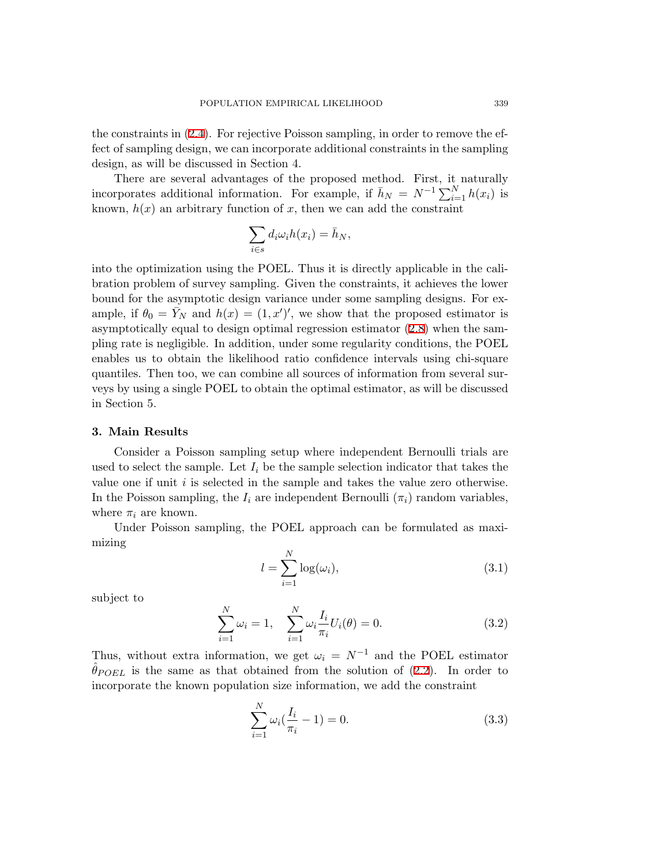the constraints in ([2.4\)](#page-2-2). For rejective Poisson sampling, in order to remove the effect of sampling design, we can incorporate additional constraints in the sampling design, as will be discussed in Section 4.

There are several advantages of the proposed method. First, it naturally incorporates additional information. For example, if  $\bar{h}_N = N^{-1} \sum_{i=1}^N h(x_i)$  is known,  $h(x)$  an arbitrary function of x, then we can add the constraint

$$
\sum_{i \in s} d_i \omega_i h(x_i) = \bar{h}_N,
$$

into the optimization using the POEL. Thus it is directly applicable in the calibration problem of survey sampling. Given the constraints, it achieves the lower bound for the asymptotic design variance under some sampling designs. For example, if  $\theta_0 = \bar{Y}_N$  and  $h(x) = (1, x')'$ , we show that the proposed estimator is asymptotically equal to design optimal regression estimator [\(2.8](#page-3-1)) when the sampling rate is negligible. In addition, under some regularity conditions, the POEL enables us to obtain the likelihood ratio confidence intervals using chi-square quantiles. Then too, we can combine all sources of information from several surveys by using a single POEL to obtain the optimal estimator, as will be discussed in Section 5.

#### **3. Main Results**

Consider a Poisson sampling setup where independent Bernoulli trials are used to select the sample. Let  $I_i$  be the sample selection indicator that takes the value one if unit *i* is selected in the sample and takes the value zero otherwise. In the Poisson sampling, the  $I_i$  are independent Bernoulli  $(\pi_i)$  random variables, where  $\pi_i$  are known.

<span id="page-4-2"></span>Under Poisson sampling, the POEL approach can be formulated as maximizing

$$
l = \sum_{i=1}^{N} \log(\omega_i),\tag{3.1}
$$

<span id="page-4-0"></span>subject to

$$
\sum_{i=1}^{N} \omega_i = 1, \quad \sum_{i=1}^{N} \omega_i \frac{I_i}{\pi_i} U_i(\theta) = 0.
$$
 (3.2)

Thus, without extra information, we get  $\omega_i = N^{-1}$  and the POEL estimator  $\hat{\theta}_{POEL}$  is the same as that obtained from the solution of ([2.2\)](#page-2-1). In order to incorporate the known population size information, we add the constraint

<span id="page-4-1"></span>
$$
\sum_{i=1}^{N} \omega_i \left( \frac{I_i}{\pi_i} - 1 \right) = 0. \tag{3.3}
$$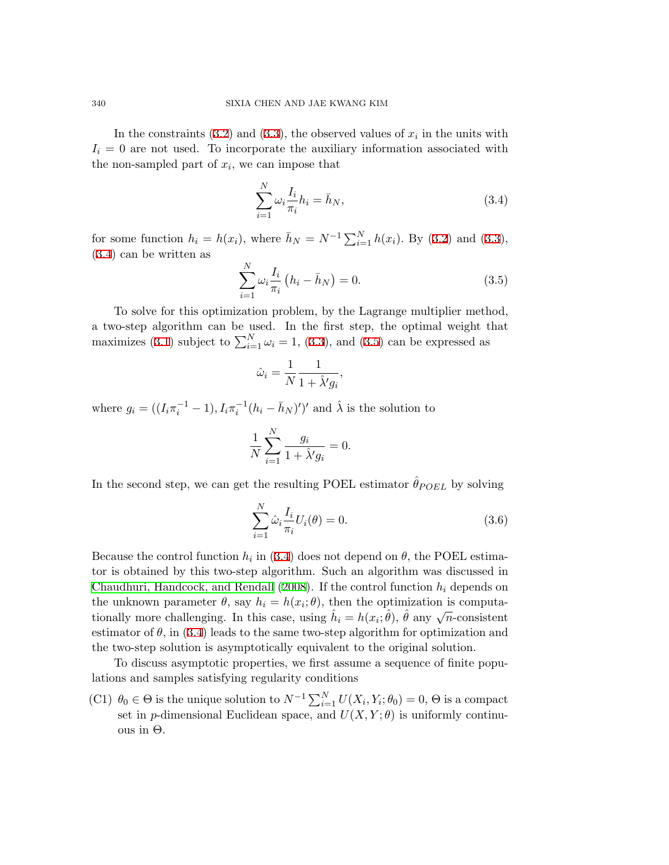In the constraints  $(3.2)$  $(3.2)$  and  $(3.3)$  $(3.3)$ , the observed values of  $x_i$  in the units with  $I_i = 0$  are not used. To incorporate the auxiliary information associated with the non-sampled part of  $x_i$ , we can impose that

<span id="page-5-0"></span>
$$
\sum_{i=1}^{N} \omega_i \frac{I_i}{\pi_i} h_i = \bar{h}_N,
$$
\n(3.4)

for some function  $h_i = h(x_i)$ , where  $\bar{h}_N = N^{-1} \sum_{i=1}^N h(x_i)$ . By ([3.2\)](#page-4-0) and [\(3.3](#page-4-1)), [\(3.4](#page-5-0)) can be written as

<span id="page-5-1"></span>
$$
\sum_{i=1}^{N} \omega_i \frac{I_i}{\pi_i} (h_i - \bar{h}_N) = 0.
$$
 (3.5)

To solve for this optimization problem, by the Lagrange multiplier method, a two-step algorithm can be used. In the first step, the optimal weight that maximizes [\(3.1](#page-4-2)) subject to  $\sum_{i=1}^{N} \omega_i = 1$ , ([3.3\)](#page-4-1), and [\(3.5](#page-5-1)) can be expressed as

$$
\hat{\omega}_i = \frac{1}{N} \frac{1}{1 + \hat{\lambda}' g_i},
$$

where  $g_i = ((I_i \pi_i^{-1} - 1), I_i \pi_i^{-1} (h_i - \bar{h}_N)')'$  and  $\hat{\lambda}$  is the solution to

$$
\frac{1}{N}\sum_{i=1}^N \frac{g_i}{1+\hat{\lambda}'g_i}=0.
$$

In the second step, we can get the resulting POEL estimator  $\hat{\theta}_{POEL}$  by solving

<span id="page-5-2"></span>
$$
\sum_{i=1}^{N} \hat{\omega}_i \frac{I_i}{\pi_i} U_i(\theta) = 0.
$$
\n(3.6)

Because the control function  $h_i$  in [\(3.4](#page-5-0)) does not depend on  $\theta$ , the POEL estimator is obtained by this two-step algorithm. Such an algorithm was discussed in [Chaudhuri, Handcock, and Rendall](#page-19-2) [\(2008](#page-19-2)). If the control function *h<sup>i</sup>* depends on the unknown parameter  $\theta$ , say  $h_i = h(x_i; \theta)$ , then the optimization is computationally more challenging. In this case, using  $\hat{h}_i = h(x_i; \hat{\theta})$ ,  $\hat{\theta}$  any  $\sqrt{n}$ -consistent estimator of  $\theta$ , in [\(3.4](#page-5-0)) leads to the same two-step algorithm for optimization and the two-step solution is asymptotically equivalent to the original solution.

To discuss asymptotic properties, we first assume a sequence of finite populations and samples satisfying regularity conditions

(C1)  $\theta_0 \in \Theta$  is the unique solution to  $N^{-1} \sum_{i=1}^{N} U(X_i, Y_i; \theta_0) = 0$ ,  $\Theta$  is a compact set in *p*-dimensional Euclidean space, and  $U(X, Y; \theta)$  is uniformly continuous in Θ*.*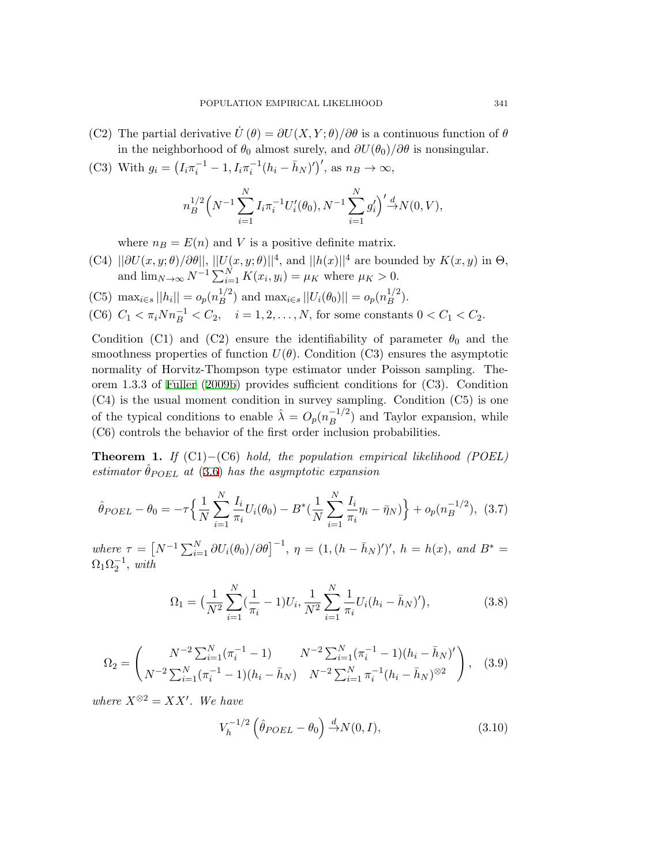- (C2) The partial derivative *U*˙ (*θ*) = *∂U*(*X, Y* ; *θ*)*/∂θ* is a continuous function of *θ* in the neighborhood of  $\theta_0$  almost surely, and  $\partial U(\theta_0)/\partial \theta$  is nonsingular.
- (C3) With  $g_i = (I_i \pi_i^{-1} 1, I_i \pi_i^{-1} (h_i \bar{h}_N)')'$ , as  $n_B \to \infty$ ,

$$
n_B^{1/2} \left( N^{-1} \sum_{i=1}^N I_i \pi_i^{-1} U_i'(\theta_0), N^{-1} \sum_{i=1}^N g_i' \right)' \stackrel{d}{\to} N(0, V),
$$

where  $n_B = E(n)$  and *V* is a positive definite matrix.

- (C4)  $||\partial U(x, y; \theta)/\partial \theta||$ ,  $||U(x, y; \theta)||^4$ , and  $||h(x)||^4$  are bounded by  $K(x, y)$  in  $\Theta$ , and  $\lim_{N \to \infty} N^{-1} \sum_{i=1}^{N} K(x_i, y_i) = \mu_K$  where  $\mu_K > 0$ .
- $(C5)$  max<sub>*i*∈*s*</sub>  $||h_i|| = o_p(n_B^{1/2})$  $B^{1/2}$ ) and  $\max_{i \in S} ||U_i(\theta_0)|| = o_p(n_B^{1/2})$  $\binom{1}{B}^2$ .

(C6) 
$$
C_1 < \pi_i N n_B^{-1} < C_2
$$
,  $i = 1, 2, ..., N$ , for some constants  $0 < C_1 < C_2$ .

Condition (C1) and (C2) ensure the identifiability of parameter  $\theta_0$  and the smoothness properties of function  $U(\theta)$ . Condition (C3) ensures the asymptotic normality of Horvitz-Thompson type estimator under Poisson sampling. Theorem 1.3.3 of [Fuller](#page-19-6) [\(2009b](#page-19-6)) provides sufficient conditions for (C3). Condition (C4) is the usual moment condition in survey sampling. Condition (C5) is one of the typical conditions to enable  $\hat{\lambda} = O_p(n_B^{-1/2})$  and Taylor expansion, while (C6) controls the behavior of the first order inclusion probabilities.

**Theorem 1.** *If* (C1)*−*(C6) *hold, the population empirical likelihood (POEL) estimator*  $\hat{\theta}_{POEL}$  *at* [\(3.6](#page-5-2)) *has the asymptotic expansion* 

$$
\hat{\theta}_{POEL} - \theta_0 = -\tau \left\{ \frac{1}{N} \sum_{i=1}^{N} \frac{I_i}{\pi_i} U_i(\theta_0) - B^* \left( \frac{1}{N} \sum_{i=1}^{N} \frac{I_i}{\pi_i} \eta_i - \bar{\eta}_N \right) \right\} + o_p(n_B^{-1/2}), \tag{3.7}
$$

where  $\tau = [N^{-1} \sum_{i=1}^{N} \partial U_i(\theta_0)/\partial \theta]^{-1}$ ,  $\eta = (1, (h - \bar{h}_N)')'$ ,  $h = h(x)$ , and  $B^* =$  $\Omega_1 \Omega_2^{-1}$ , *with* 

<span id="page-6-1"></span><span id="page-6-0"></span>
$$
\Omega_1 = \left(\frac{1}{N^2} \sum_{i=1}^N (\frac{1}{\pi_i} - 1) U_i, \frac{1}{N^2} \sum_{i=1}^N \frac{1}{\pi_i} U_i (h_i - \bar{h}_N)'\right),\tag{3.8}
$$

<span id="page-6-2"></span>
$$
\Omega_2 = \begin{pmatrix} N^{-2} \sum_{i=1}^N (\pi_i^{-1} - 1) & N^{-2} \sum_{i=1}^N (\pi_i^{-1} - 1)(h_i - \bar{h}_N)' \\ N^{-2} \sum_{i=1}^N (\pi_i^{-1} - 1)(h_i - \bar{h}_N) & N^{-2} \sum_{i=1}^N \pi_i^{-1} (h_i - \bar{h}_N)^{\otimes 2} \end{pmatrix}, \quad (3.9)
$$

 $where X<sup>®2</sup> = XX'$ *. We have* 

$$
V_h^{-1/2} \left(\hat{\theta}_{POEL} - \theta_0\right) \stackrel{d}{\rightarrow} N(0, I),\tag{3.10}
$$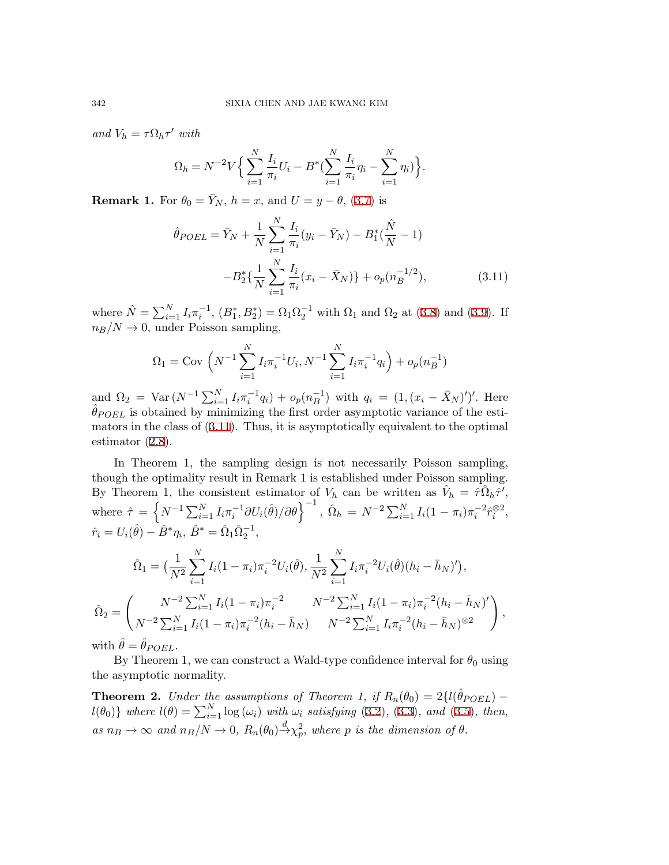*and*  $V_h = \tau \Omega_h \tau'$  *with* 

<span id="page-7-0"></span>
$$
\Omega_h = N^{-2} V \Big\{ \sum_{i=1}^N \frac{I_i}{\pi_i} U_i - B^* \big( \sum_{i=1}^N \frac{I_i}{\pi_i} \eta_i - \sum_{i=1}^N \eta_i \big) \Big\}.
$$

**Remark 1.** For  $\theta_0 = \bar{Y}_N$ ,  $h = x$ , and  $U = y - \theta$ , ([3.7\)](#page-6-0) is

$$
\hat{\theta}_{POEL} = \bar{Y}_N + \frac{1}{N} \sum_{i=1}^N \frac{I_i}{\pi_i} (y_i - \bar{Y}_N) - B_1^* (\frac{\hat{N}}{N} - 1) - B_2^* \{ \frac{1}{N} \sum_{i=1}^N \frac{I_i}{\pi_i} (x_i - \bar{X}_N) \} + o_p(n_B^{-1/2}),
$$
\n(3.11)

where  $\hat{N} = \sum_{i=1}^{N} I_i \pi_i^{-1}$ ,  $(B_1^*, B_2^*) = \Omega_1 \Omega_2^{-1}$  with  $\Omega_1$  and  $\Omega_2$  at [\(3.8](#page-6-1)) and [\(3.9](#page-6-2)). If  $n_B/N \to 0$ , under Poisson sampling,

$$
\Omega_1 = \text{Cov}\left(N^{-1}\sum_{i=1}^N I_i \pi_i^{-1} U_i, N^{-1}\sum_{i=1}^N I_i \pi_i^{-1} q_i\right) + o_p(n_B^{-1})
$$

and  $\Omega_2 = \text{Var}(N^{-1}\sum_{i=1}^N I_i \pi_i^{-1} q_i) + o_p(n_B^{-1})$  with  $q_i = (1, (x_i - \bar{X}_N)')'$ . Here  $\theta_{POEL}$  is obtained by minimizing the first order asymptotic variance of the estimators in the class of [\(3.11\)](#page-7-0). Thus, it is asymptotically equivalent to the optimal estimator ([2.8\)](#page-3-1).

In Theorem 1, the sampling design is not necessarily Poisson sampling, though the optimality result in Remark 1 is established under Poisson sampling. By Theorem 1, the consistent estimator of  $V_h$  can be written as  $\hat{V}_h = \hat{\tau} \hat{\Omega}_h \hat{\tau}',$ where  $\hat{\tau} = \left\{ N^{-1} \sum_{i=1}^{N} I_i \pi_i^{-1} \partial U_i(\hat{\theta}) / \partial \theta \right\}^{-1}, \, \hat{\Omega}_h = N^{-2} \sum_{i=1}^{N} I_i (1 - \pi_i) \pi_i^{-2} \hat{r}_i^{\otimes 2},$  $\hat{r}_i = U_i(\hat{\theta}) - \hat{B}^* \eta_i, \ \hat{B}^* = \hat{\Omega}_1 \hat{\Omega}_2^{-1},$ 

$$
\hat{\Omega}_1 = \left(\frac{1}{N^2} \sum_{i=1}^N I_i (1 - \pi_i) \pi_i^{-2} U_i(\hat{\theta}), \frac{1}{N^2} \sum_{i=1}^N I_i \pi_i^{-2} U_i(\hat{\theta}) (h_i - \bar{h}_N)'\right),
$$
  

$$
\hat{\Omega}_2 = \left(\frac{N^{-2} \sum_{i=1}^N I_i (1 - \pi_i) \pi_i^{-2}}{N^{-2} \sum_{i=1}^N I_i (1 - \pi_i) \pi_i^{-2} (h_i - \bar{h}_N)'}\right),
$$

with  $\theta = \theta_{POEL}$ .

By Theorem 1, we can construct a Wald-type confidence interval for  $\theta_0$  using the asymptotic normality.

**Theorem 2.** *Under the assumptions of Theorem 1, if*  $R_n(\theta_0) = 2\{l(\hat{\theta}_{POEL})$  $l(\theta_0)$ *}* where  $l(\theta) = \sum_{i=1}^{N} \log(\omega_i)$  with  $\omega_i$  satisfying ([3.2\)](#page-4-0), [\(3.3](#page-4-1)), and [\(3.5](#page-5-1)), then, as  $n_B \to \infty$  and  $n_B/N \to 0$ ,  $R_n(\theta_0) \stackrel{d}{\to} \chi_p^2$ , where p is the dimension of  $\theta$ .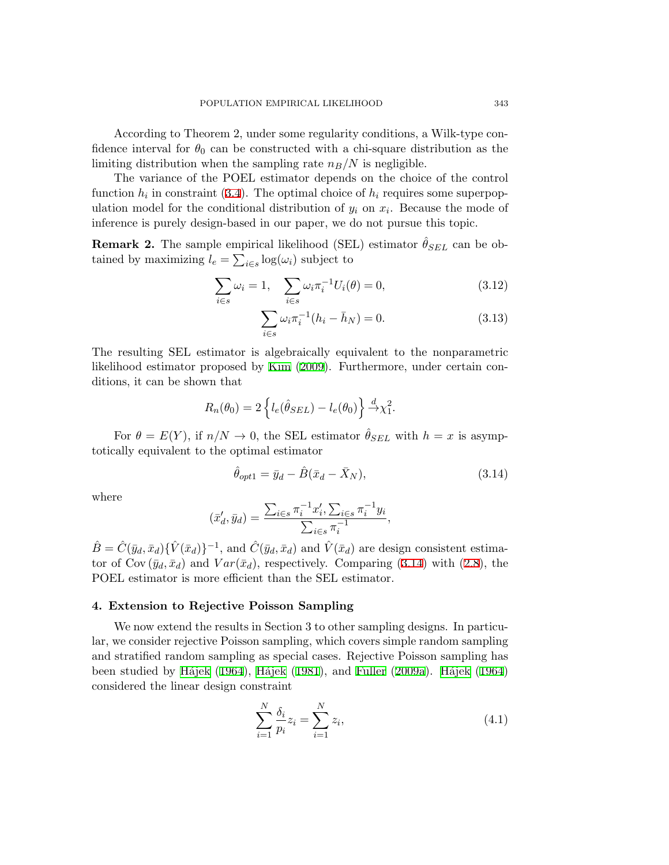According to Theorem 2, under some regularity conditions, a Wilk-type confidence interval for  $\theta_0$  can be constructed with a chi-square distribution as the limiting distribution when the sampling rate  $n_B/N$  is negligible.

The variance of the POEL estimator depends on the choice of the control function  $h_i$  in constraint [\(3.4](#page-5-0)). The optimal choice of  $h_i$  requires some superpopulation model for the conditional distribution of  $y_i$  on  $x_i$ . Because the mode of inference is purely design-based in our paper, we do not pursue this topic.

**Remark 2.** The sample empirical likelihood (SEL) estimator  $\hat{\theta}_{SEL}$  can be obtained by maximizing  $l_e = \sum_{i \in s} \log(\omega_i)$  subject to

<span id="page-8-2"></span>
$$
\sum_{i \in s} \omega_i = 1, \quad \sum_{i \in s} \omega_i \pi_i^{-1} U_i(\theta) = 0,
$$
\n(3.12)

$$
\sum_{i \in s} \omega_i \pi_i^{-1} (h_i - \bar{h}_N) = 0.
$$
 (3.13)

The resulting SEL estimator is algebraically equivalent to the nonparametric likelihood estimator proposed by [Kim](#page-20-6) ([2009\)](#page-20-6). Furthermore, under certain conditions, it can be shown that

$$
R_n(\theta_0) = 2 \left\{ l_e(\hat{\theta}_{SEL}) - l_e(\theta_0) \right\} \stackrel{d}{\rightarrow} \chi_1^2.
$$

For  $\theta = E(Y)$ , if  $n/N \to 0$ , the SEL estimator  $\theta_{SEL}$  with  $h = x$  is asymptotically equivalent to the optimal estimator

<span id="page-8-0"></span>
$$
\hat{\theta}_{opt1} = \bar{y}_d - \hat{B}(\bar{x}_d - \bar{X}_N),\tag{3.14}
$$

where

$$
(\bar{x}'_d, \bar{y}_d) = \frac{\sum_{i \in s} \pi_i^{-1} x'_i, \sum_{i \in s} \pi_i^{-1} y_i}{\sum_{i \in s} \pi_i^{-1}},
$$

 $\hat{B} = \hat{C}(\bar{y}_d, \bar{x}_d) \{\hat{V}(\bar{x}_d)\}^{-1}$ , and  $\hat{C}(\bar{y}_d, \bar{x}_d)$  and  $\hat{V}(\bar{x}_d)$  are design consistent estimator of Cov  $(\bar{y}_d, \bar{x}_d)$  and  $Var(\bar{x}_d)$ , respectively. Comparing ([3.14\)](#page-8-0) with ([2.8\)](#page-3-1), the POEL estimator is more efficient than the SEL estimator.

# **4. Extension to Rejective Poisson Sampling**

We now extend the results in Section 3 to other sampling designs. In particular, we consider rejective Poisson sampling, which covers simple random sampling and stratified random sampling as special cases. Rejective Poisson sampling has been studied by Hájek [\(1964\)](#page-20-12), Hájek ([1981](#page-20-13)), and [Fuller](#page-19-3) ([2009a](#page-19-3)). Hájek [\(1964](#page-20-12)) considered the linear design constraint

<span id="page-8-1"></span>
$$
\sum_{i=1}^{N} \frac{\delta_i}{p_i} z_i = \sum_{i=1}^{N} z_i,
$$
\n(4.1)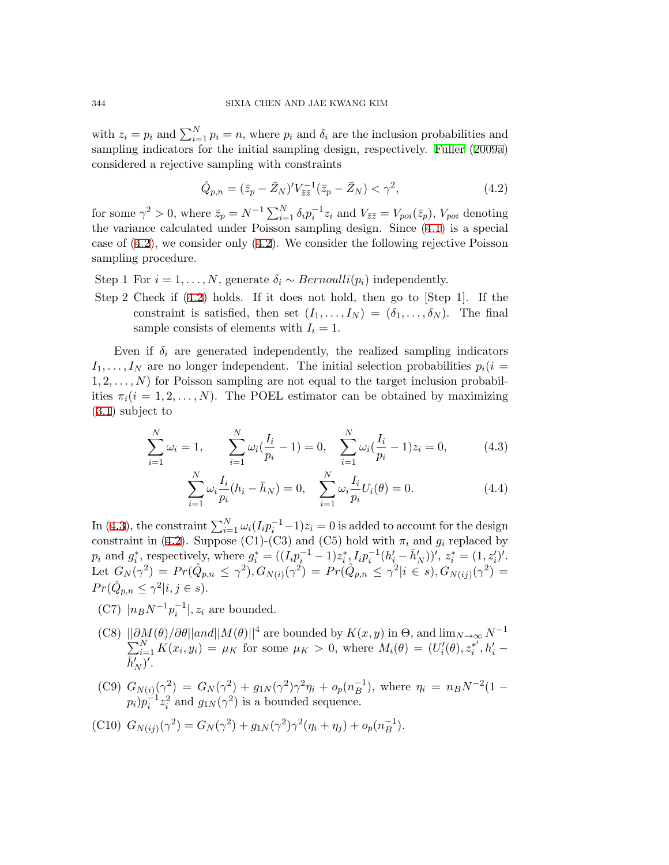with  $z_i = p_i$  and  $\sum_{i=1}^{N} p_i = n$ , where  $p_i$  and  $\delta_i$  are the inclusion probabilities and sampling indicators for the initial sampling design, respectively. [Fuller](#page-19-3) ([2009a](#page-19-3)) considered a rejective sampling with constraints

<span id="page-9-0"></span>
$$
\hat{Q}_{p,n} = (\bar{z}_p - \bar{Z}_N)' V_{\bar{z}\bar{z}}^{-1} (\bar{z}_p - \bar{Z}_N) < \gamma^2,\tag{4.2}
$$

for some  $\gamma^2 > 0$ , where  $\bar{z}_p = N^{-1} \sum_{i=1}^N \delta_i p_i^{-1} z_i$  and  $V_{\bar{z}\bar{z}} = V_{\text{pot}}(\bar{z}_p)$ ,  $V_{\text{pot}}$  denoting the variance calculated under Poisson sampling design. Since ([4.1\)](#page-8-1) is a special case of [\(4.2](#page-9-0)), we consider only ([4.2\)](#page-9-0). We consider the following rejective Poisson sampling procedure.

- Step 1 For  $i = 1, ..., N$ , generate  $\delta_i \sim Bernoulli(p_i)$  independently.
- Step 2 Check if ([4.2\)](#page-9-0) holds. If it does not hold, then go to [Step 1]. If the constraint is satisfied, then set  $(I_1, \ldots, I_N) = (\delta_1, \ldots, \delta_N)$ . The final sample consists of elements with  $I_i = 1$ .

Even if  $\delta_i$  are generated independently, the realized sampling indicators  $I_1, \ldots, I_N$  are no longer independent. The initial selection probabilities  $p_i(i = 1, \ldots, I_N)$ 1*,* 2*, . . . , N*) for Poisson sampling are not equal to the target inclusion probabilities  $\pi_i(i=1,2,\ldots,N)$ . The POEL estimator can be obtained by maximizing [\(3.1](#page-4-2)) subject to

<span id="page-9-1"></span>
$$
\sum_{i=1}^{N} \omega_i = 1, \qquad \sum_{i=1}^{N} \omega_i \left( \frac{I_i}{p_i} - 1 \right) = 0, \quad \sum_{i=1}^{N} \omega_i \left( \frac{I_i}{p_i} - 1 \right) z_i = 0, \tag{4.3}
$$

$$
\sum_{i=1}^{N} \omega_i \frac{I_i}{p_i} (h_i - \bar{h}_N) = 0, \quad \sum_{i=1}^{N} \omega_i \frac{I_i}{p_i} U_i(\theta) = 0.
$$
 (4.4)

In ([4.3\)](#page-9-1), the constraint  $\sum_{i=1}^{N} \omega_i (I_i p_i^{-1} - 1) z_i = 0$  is added to account for the design constraint in ([4.2\)](#page-9-0). Suppose (C1)-(C3) and (C5) hold with  $\pi_i$  and  $g_i$  replaced by  $p_i$  and  $g_i^*$ , respectively, where  $g_i^* = ((I_i p_i^{-1} - 1)z_i^*, I_i p_i^{-1}(h_i' - \bar{h}_N'))', z_i^* = (1, z_i')'.$ Let  $G_N(\gamma^2) = Pr(\hat{Q}_{p,n} \leq \gamma^2), G_{N(i)}(\gamma^2) = Pr(\hat{Q}_{p,n} \leq \gamma^2 | i \in S), G_{N(ij)}(\gamma^2) =$  $Pr(\hat{Q}_{p,n} \leq \gamma^2 | i, j \in s)$ .

- (C7)  $|n_B N^{-1} p_i^{-1}|, z_i$  are bounded.
- $(C8)$   $\frac{||\partial M(\theta)/\partial \theta||and||M(\theta)||^4}{N}$  are bounded by  $K(x, y)$  in  $\Theta$ , and  $\lim_{N\to\infty} N^{-1}$  $\sum_{i=1}^{N} K(x_i, y_i) = \mu_K$  for some  $\mu_K > 0$ , where  $M_i(\theta) = (U_i'(\theta), z_i^{*'}, h_i' \overline{h}'_{N}$ <sup> $\overline{)'}.$ </sup>
- (C9)  $G_{N(i)}(\gamma^2) = G_N(\gamma^2) + g_{1N}(\gamma^2)\gamma^2\eta_i + o_p(n_B^{-1}),$  where  $\eta_i = n_B N^{-2} (1$  $p_i$ ) $p_i^{-1}z_i^2$  and  $g_{1N}(\gamma^2)$  is a bounded sequence.
- (C10)  $G_{N(ij)}(\gamma^2) = G_N(\gamma^2) + g_{1N}(\gamma^2)\gamma^2(\eta_i + \eta_j) + o_p(n_B^{-1}).$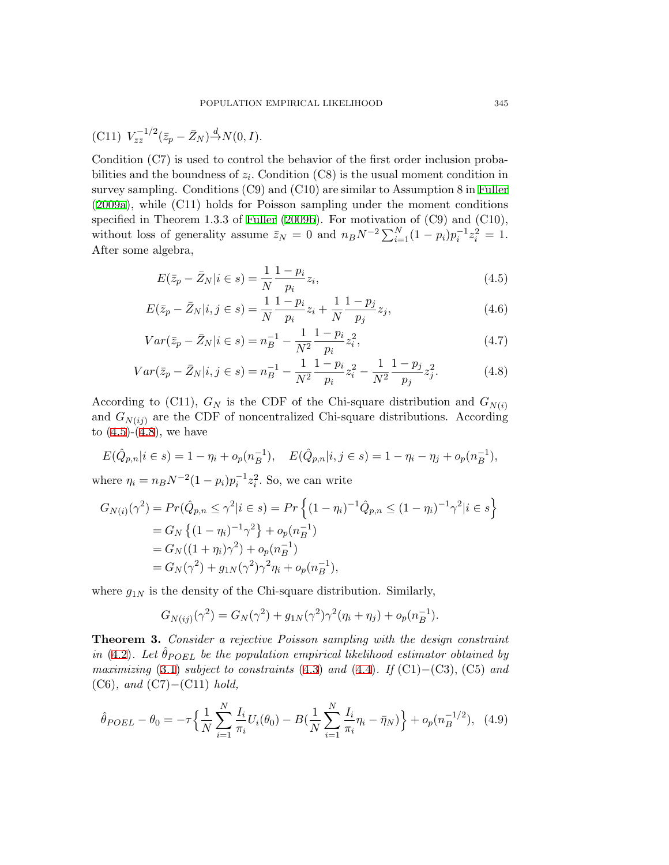$$
(C11) V_{\bar{z}\bar{z}}^{-1/2} (\bar{z}_p - \bar{Z}_N)^{\Delta} N(0, I).
$$

Condition (C7) is used to control the behavior of the first order inclusion probabilities and the boundness of  $z_i$ . Condition (C8) is the usual moment condition in survey sampling. Conditions (C9) and (C10) are similar to Assumption 8 in [Fuller](#page-19-3) [\(2009a](#page-19-3)), while (C11) holds for Poisson sampling under the moment conditions specified in Theorem 1.3.3 of [Fuller](#page-19-6) ([2009b\)](#page-19-6). For motivation of (C9) and (C10), without loss of generality assume  $\bar{z}_N = 0$  and  $n_B N^{-2} \sum_{i=1}^N (1 - p_i) p_i^{-1} z_i^2 = 1$ . After some algebra,

<span id="page-10-0"></span>
$$
E(\bar{z}_p - \bar{Z}_N | i \in s) = \frac{1}{N} \frac{1 - p_i}{p_i} z_i,
$$
\n(4.5)

$$
E(\bar{z}_p - \bar{Z}_N | i, j \in s) = \frac{1}{N} \frac{1 - p_i}{p_i} z_i + \frac{1}{N} \frac{1 - p_j}{p_j} z_j,
$$
\n(4.6)

$$
Var(\bar{z}_p - \bar{Z}_N | i \in s) = n_B^{-1} - \frac{1}{N^2} \frac{1 - p_i}{p_i} z_i^2,
$$
\n(4.7)

$$
Var(\bar{z}_p - \bar{Z}_N|i, j \in s) = n_B^{-1} - \frac{1}{N^2} \frac{1 - p_i}{p_i} z_i^2 - \frac{1}{N^2} \frac{1 - p_j}{p_j} z_j^2.
$$
 (4.8)

According to (C11),  $G_N$  is the CDF of the Chi-square distribution and  $G_{N(i)}$ and  $G_{N(i)}$  are the CDF of noncentralized Chi-square distributions. According to  $(4.5)-(4.8)$  $(4.5)-(4.8)$  $(4.5)-(4.8)$  $(4.5)-(4.8)$ , we have

$$
E(\hat{Q}_{p,n}|i \in s) = 1 - \eta_i + o_p(n_B^{-1}), \quad E(\hat{Q}_{p,n}|i,j \in s) = 1 - \eta_i - \eta_j + o_p(n_B^{-1}),
$$

where  $\eta_i = n_B N^{-2} (1 - p_i) p_i^{-1} z_i^2$ . So, we can write

<span id="page-10-1"></span>
$$
G_{N(i)}(\gamma^2) = Pr(\hat{Q}_{p,n} \le \gamma^2 | i \in s) = Pr\left\{ (1 - \eta_i)^{-1} \hat{Q}_{p,n} \le (1 - \eta_i)^{-1} \gamma^2 | i \in s \right\}
$$
  
=  $G_N \left\{ (1 - \eta_i)^{-1} \gamma^2 \right\} + o_p(n_B^{-1})$   
=  $G_N((1 + \eta_i)\gamma^2) + o_p(n_B^{-1})$   
=  $G_N(\gamma^2) + g_{1N}(\gamma^2)\gamma^2 \eta_i + o_p(n_B^{-1}),$ 

where  $g_{1N}$  is the density of the Chi-square distribution. Similarly,

$$
G_{N(ij)}(\gamma^2) = G_N(\gamma^2) + g_{1N}(\gamma^2)\gamma^2(\eta_i + \eta_j) + o_p(n_B^{-1}).
$$

**Theorem 3.** *Consider a rejective Poisson sampling with the design constraint in* [\(4.2](#page-9-0)). Let  $\hat{\theta}_{POEL}$  *be the population empirical likelihood estimator obtained by maximizing* [\(3.1\)](#page-4-2) *subject to constraints* ([4.3\)](#page-9-1) *and* [\(4.4\)](#page-9-1)*. If* (C1)*−*(C3), (C5) *and* (C6)*, and* (C7)*−*(C11) *hold,*

$$
\hat{\theta}_{POEL} - \theta_0 = -\tau \left\{ \frac{1}{N} \sum_{i=1}^{N} \frac{I_i}{\pi_i} U_i(\theta_0) - B(\frac{1}{N} \sum_{i=1}^{N} \frac{I_i}{\pi_i} \eta_i - \bar{\eta}_N) \right\} + o_p(n_B^{-1/2}), \tag{4.9}
$$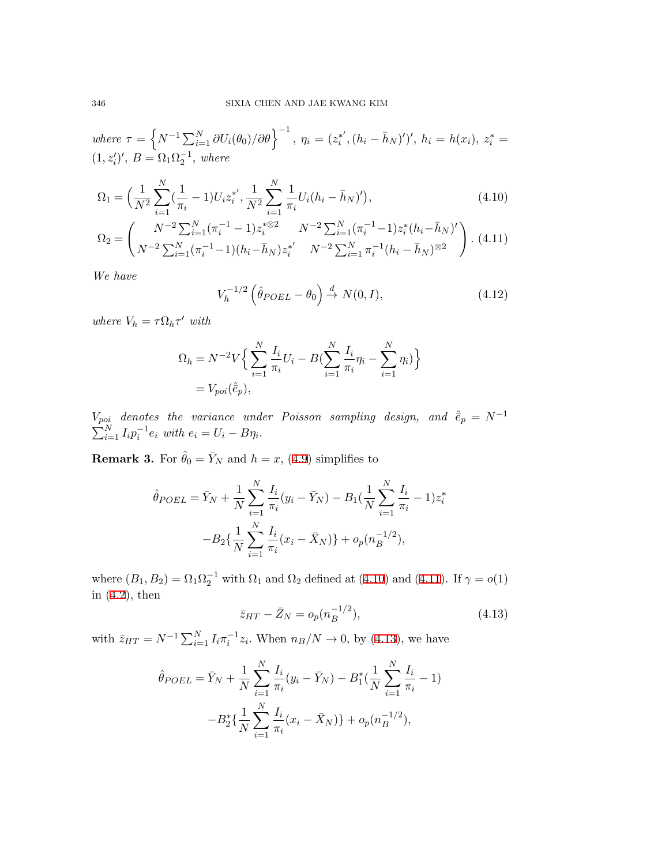where 
$$
\tau = \left\{ N^{-1} \sum_{i=1}^{N} \partial U_i(\theta_0) / \partial \theta \right\}^{-1}
$$
,  $\eta_i = (z_i^{*'}, (h_i - \bar{h}_N)')'$ ,  $h_i = h(x_i)$ ,  $z_i^* = (1, z_i')'$ ,  $B = \Omega_1 \Omega_2^{-1}$ , where

$$
\Omega_1 = \left(\frac{1}{N^2} \sum_{i=1}^N (\frac{1}{\pi_i} - 1) U_i z_i^{*'}, \frac{1}{N^2} \sum_{i=1}^N \frac{1}{\pi_i} U_i (h_i - \bar{h}_N)'\right),\tag{4.10}
$$

<span id="page-11-0"></span>
$$
\Omega_2 = \left( \frac{N^{-2} \sum_{i=1}^N (\pi_i^{-1} - 1) z_i^{* \otimes 2}}{N^{-2} \sum_{i=1}^N (\pi_i^{-1} - 1) (h_i - \bar{h}_N) z_i^{*'}} \frac{N^{-2} \sum_{i=1}^N (\pi_i^{-1} - 1) z_i^* (h_i - \bar{h}_N)^{'}}{N^{-2} \sum_{i=1}^N \pi_i^{-1} (h_i - \bar{h}_N)^{\otimes 2}} \right). \tag{4.11}
$$

*We have*

$$
V_h^{-1/2} \left(\hat{\theta}_{POEL} - \theta_0\right) \stackrel{d}{\rightarrow} N(0, I),\tag{4.12}
$$

*where*  $V_h = \tau \Omega_h \tau'$  *with* 

$$
\Omega_h = N^{-2} V \Big\{ \sum_{i=1}^N \frac{I_i}{\pi_i} U_i - B \Big( \sum_{i=1}^N \frac{I_i}{\pi_i} \eta_i - \sum_{i=1}^N \eta_i \Big) \Big\}
$$
  
=  $V_{\text{pot}}(\hat{e}_p),$ 

*V*<sub>poi</sub> denotes the variance under Poisson sampling design, and  $\hat{e}_p = N^{-1}$  $\sum_{i=1}^{N} I_i p_i^{-1} e_i$  with  $e_i = U_i - B \eta_i$ .

**Remark 3.** For  $\hat{\theta}_0 = \bar{Y}_N$  and  $h = x$ , ([4.9\)](#page-10-1) simplifies to

<span id="page-11-1"></span>
$$
\hat{\theta}_{POEL} = \bar{Y}_N + \frac{1}{N} \sum_{i=1}^N \frac{I_i}{\pi_i} (y_i - \bar{Y}_N) - B_1 (\frac{1}{N} \sum_{i=1}^N \frac{I_i}{\pi_i} - 1) z_i^*
$$

$$
-B_2 \{\frac{1}{N} \sum_{i=1}^N \frac{I_i}{\pi_i} (x_i - \bar{X}_N) \} + o_p(n_B^{-1/2}),
$$

where  $(B_1, B_2) = \Omega_1 \Omega_2^{-1}$  with  $\Omega_1$  and  $\Omega_2$  defined at ([4.10](#page-11-0)) and ([4.11](#page-11-0)). If  $\gamma = o(1)$ in ([4.2\)](#page-9-0), then

$$
\bar{z}_{HT} - \bar{Z}_N = o_p(n_B^{-1/2}),\tag{4.13}
$$

with  $\bar{z}_{HT} = N^{-1} \sum_{i=1}^{N} I_i \pi_i^{-1} z_i$ . When  $n_B/N \to 0$ , by [\(4.13\)](#page-11-1), we have

$$
\hat{\theta}_{POEL} = \bar{Y}_N + \frac{1}{N} \sum_{i=1}^N \frac{I_i}{\pi_i} (y_i - \bar{Y}_N) - B_1^* \left( \frac{1}{N} \sum_{i=1}^N \frac{I_i}{\pi_i} - 1 \right)
$$

$$
-B_2^* \left\{ \frac{1}{N} \sum_{i=1}^N \frac{I_i}{\pi_i} (x_i - \bar{X}_N) \right\} + o_p(n_B^{-1/2}),
$$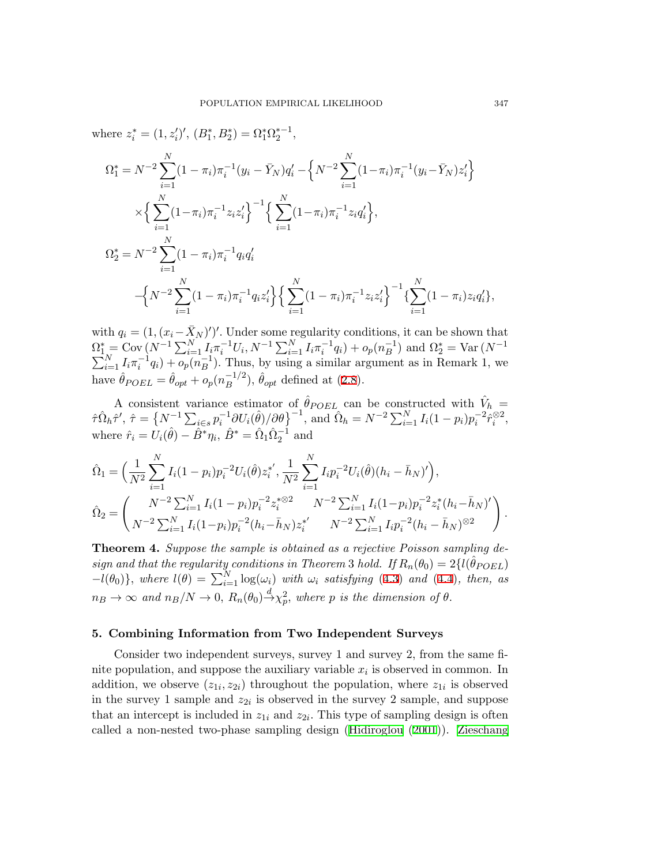where  $z_i^* = (1, z_i')'$ ,  $(B_1^*, B_2^*) = \Omega_1^* \Omega_2^{*-1}$ ,  $\Omega_1^* = N^{-2} \sum$ *N i*=1  $(1 - \pi_i)\pi_i^{-1}(y_i - \bar{Y}_N)q'_i - \left\{N^{-2}\sum_{i=1}^N\pi_i^{-1}(y_i - \bar{Y}_N)q'_i - \frac{1}{2}\right\}$ *N i*=1  $(1-\pi_i)\pi_i^{-1}(y_i-\bar{Y}_N)z'_i$ *×* {∑ *N i*=1  $(1-\pi_i)\pi_i^{-1}z_iz'_i\bigg\}^{-1}\bigg\{\sum_{i=1}^{N}\left\{1-\frac{1}{2}\right\}$ *i*=1  $(1-\pi_i)\pi_i^{-1}z_iq_i'\},$  $\Omega^*_2 = N^{-2} \sum$ *N i*=1  $(1 - \pi_i)\pi_i^{-1}q_iq_i'$ *−* { *N −*2∑ *N i*=1  $(1-\pi_i)\pi_i^{-1}q_iz'_i\bigg\} \Big\{ \sum^{N}$ *i*=1  $(1 - \pi_i) \pi_i^{-1} z_i z'_i \left\}^{-1} \left\{ \sum_{i=1}^N \pi_i \right\}$ *N i*=1  $(1 - \pi_i)z_i q'_i$ ,

with  $q_i = (1, (x_i - \bar{X}_N)')'$ . Under some regularity conditions, it can be shown that  $\Omega_{1}^* = \text{Cov}(N^{-1}\sum_{i=1}^N I_i \pi_i^{-1} U_i, N^{-1}\sum_{i=1}^N I_i \pi_i^{-1} q_i) + o_p(n_B^{-1})$  and  $\Omega_2^* = \text{Var}(N^{-1})$  $\sum_{i=1}^{N} I_i \pi_i^{-1} q_i$  +  $\overline{o_p}(n_B^{-1})$ . Thus, by using a similar argument as in Remark 1, we have  $\hat{\theta}_{POEL} = \hat{\theta}_{opt} + o_p(n_B^{-1/2}), \hat{\theta}_{opt}$  defined at ([2.8\)](#page-3-1).

A consistent variance estimator of  $\hat{\theta}_{POEL}$  can be constructed with  $\hat{V}_h$  =  $\hat{\tau} \hat{\Omega}_h \hat{\tau}', \ \hat{\tau} = \left\{ N^{-1} \sum_{i \in s} p_i^{-1} \partial U_i(\hat{\theta}) / \partial \theta \right\}^{-1}, \ \text{and} \ \hat{\Omega}_h = N^{-2} \sum_{i=1}^N I_i(1-p_i) p_i^{-2} \hat{r}_i^{\otimes 2},$ where  $\hat{r}_i = U_i(\hat{\theta}) - \hat{B}^* \eta_i$ ,  $\hat{B}^* = \hat{\Omega}_1 \hat{\Omega}_2^{-1}$  and

$$
\hat{\Omega}_1 = \left(\frac{1}{N^2} \sum_{i=1}^N I_i (1 - p_i) p_i^{-2} U_i(\hat{\theta}) z_i^{*'}, \frac{1}{N^2} \sum_{i=1}^N I_i p_i^{-2} U_i(\hat{\theta}) (h_i - \bar{h}_N)' \right),
$$
\n
$$
\hat{\Omega}_2 = \left(\frac{N^{-2} \sum_{i=1}^N I_i (1 - p_i) p_i^{-2} z_i^{* \otimes 2}}{N^{-2} \sum_{i=1}^N I_i (1 - p_i) p_i^{-2} z_i^* (h_i - \bar{h}_N)'} \right)
$$
\n
$$
\hat{\Omega}_2 = \left(\frac{N^{-2} \sum_{i=1}^N I_i (1 - p_i) p_i^{-2} (h_i - \bar{h}_N) z_i^{*'}}{N^{-2} \sum_{i=1}^N I_i p_i^{-2} (h_i - \bar{h}_N)^{\otimes 2}} \right)
$$

**Theorem 4.** *Suppose the sample is obtained as a rejective Poisson sampling design and that the regularity conditions in Theorem 3 <i>hold.* If  $R_n(\theta_0) = 2\{l(\hat{\theta}_{POEL})\}$  $-l(\theta_0)$ *}, where*  $l(\theta) = \sum_{i=1}^{N} \log(\omega_i)$  *with*  $\omega_i$  *satisfying* ([4.3\)](#page-9-1) *and* ([4.4\)](#page-9-1)*, then, as*  $n_B \to \infty$  *and*  $n_B/N \to 0$ ,  $R_n(\theta_0) \stackrel{d}{\to} \chi_p^2$ , where *p is the dimension of*  $\theta$ .

## **5. Combining Information from Two Independent Surveys**

Consider two independent surveys, survey 1 and survey 2, from the same finite population, and suppose the auxiliary variable *x<sup>i</sup>* is observed in common. In addition, we observe  $(z_{1i}, z_{2i})$  throughout the population, where  $z_{1i}$  is observed in the survey 1 sample and  $z_{2i}$  is observed in the survey 2 sample, and suppose that an intercept is included in  $z_{1i}$  and  $z_{2i}$ . This type of sampling design is often called a non-nested two-phase sampling design [\(Hidiroglou](#page-20-14) [\(2001\)](#page-20-14)). [Zieschang](#page-20-15)

*.*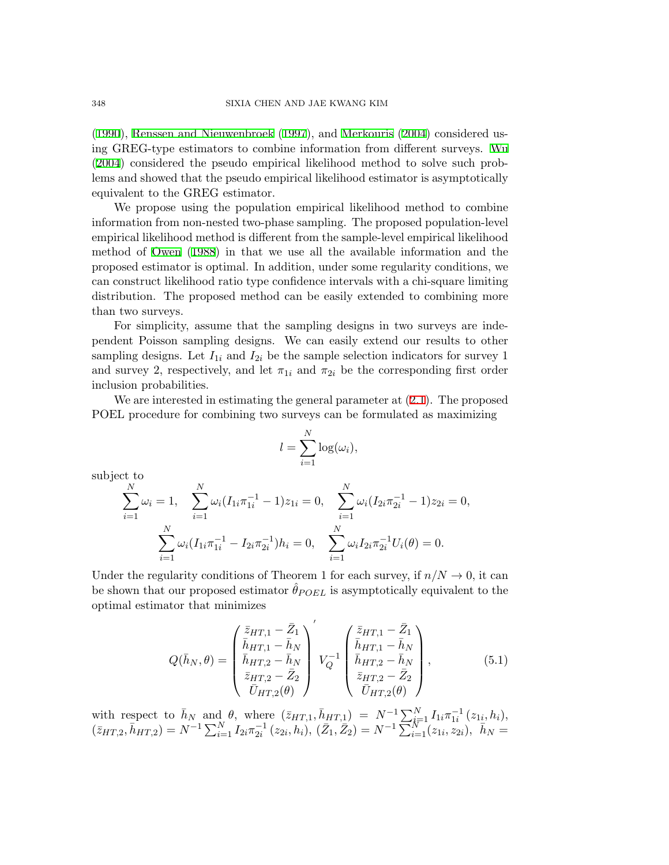[\(1990](#page-20-15)), [Renssen and Nieuwenbroek](#page-20-16) ([1997\)](#page-20-16), and [Merkouris](#page-20-17) [\(2004](#page-20-17)) considered using GREG-type estimators to combine information from different surveys. [Wu](#page-20-18) [\(2004](#page-20-18)) considered the pseudo empirical likelihood method to solve such problems and showed that the pseudo empirical likelihood estimator is asymptotically equivalent to the GREG estimator.

We propose using the population empirical likelihood method to combine information from non-nested two-phase sampling. The proposed population-level empirical likelihood method is different from the sample-level empirical likelihood method of [Owen](#page-20-1) [\(1988](#page-20-1)) in that we use all the available information and the proposed estimator is optimal. In addition, under some regularity conditions, we can construct likelihood ratio type confidence intervals with a chi-square limiting distribution. The proposed method can be easily extended to combining more than two surveys.

For simplicity, assume that the sampling designs in two surveys are independent Poisson sampling designs. We can easily extend our results to other sampling designs. Let  $I_{1i}$  and  $I_{2i}$  be the sample selection indicators for survey 1 and survey 2, respectively, and let  $\pi_{1i}$  and  $\pi_{2i}$  be the corresponding first order inclusion probabilities.

We are interested in estimating the general parameter at ([2.1](#page-2-0)). The proposed POEL procedure for combining two surveys can be formulated as maximizing

$$
l = \sum_{i=1}^{N} \log(\omega_i),
$$

subject to

$$
\sum_{i=1}^{N} \omega_i = 1, \quad \sum_{i=1}^{N} \omega_i (I_{1i} \pi_{1i}^{-1} - 1) z_{1i} = 0, \quad \sum_{i=1}^{N} \omega_i (I_{2i} \pi_{2i}^{-1} - 1) z_{2i} = 0,
$$

$$
\sum_{i=1}^{N} \omega_i (I_{1i} \pi_{1i}^{-1} - I_{2i} \pi_{2i}^{-1}) h_i = 0, \quad \sum_{i=1}^{N} \omega_i I_{2i} \pi_{2i}^{-1} U_i(\theta) = 0.
$$

Under the regularity conditions of Theorem 1 for each survey, if  $n/N \to 0$ , it can be shown that our proposed estimator  $\hat{\theta}_{POEL}$  is asymptotically equivalent to the optimal estimator that minimizes

<span id="page-13-0"></span>
$$
Q(\bar{h}_N, \theta) = \begin{pmatrix} \bar{z}_{HT,1} - \bar{Z}_1 \\ \bar{h}_{HT,1} - \bar{h}_N \\ \bar{h}_{HT,2} - \bar{h}_N \\ \bar{z}_{HT,2} - \bar{Z}_2 \\ \bar{U}_{HT,2}(\theta) \end{pmatrix} V_Q^{-1} \begin{pmatrix} \bar{z}_{HT,1} - \bar{Z}_1 \\ \bar{h}_{HT,1} - \bar{h}_N \\ \bar{h}_{HT,2} - \bar{h}_N \\ \bar{z}_{HT,2} - \bar{Z}_2 \\ \bar{U}_{HT,2}(\theta) \end{pmatrix},
$$
(5.1)

with respect to  $\bar{h}_N$  and  $\theta$ , where  $(\bar{z}_{HT,1}, \bar{h}_{HT,1}) = N^{-1} \sum_{i=1}^N I_{1i} \pi_{1i}^{-1} (z_{1i}, h_i),$  $(\bar{z}_{HT,2}, \bar{h}_{HT,2}) = N^{-1} \sum_{i=1}^{N} I_{2i} \pi_{2i}^{-1} (z_{2i}, h_i), (\bar{Z}_1, \bar{Z}_2) = N^{-1} \sum_{i=1}^{N} (z_{1i}, z_{2i}), \bar{h}_N =$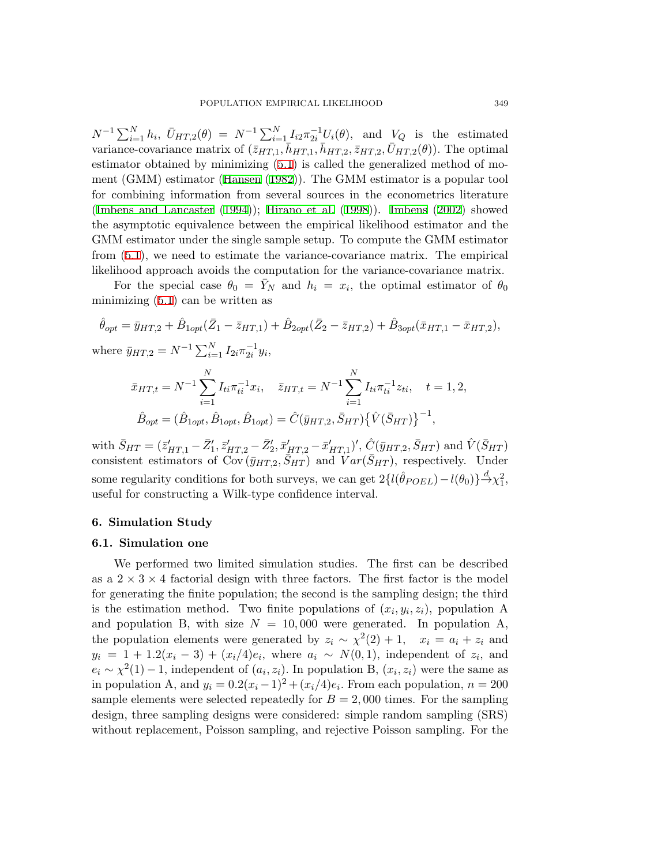$N^{-1}\sum_{i=1}^{N} h_i$ ,  $\bar{U}_{HT,2}(\theta) = N^{-1}\sum_{i=1}^{N} I_{i2}\pi_{2i}^{-1}U_i(\theta)$ , and  $V_Q$  is the estimated variance-covariance matrix of  $(\bar{z}_{HT,1}, \bar{h}_{HT,1}, \bar{h}_{HT,2}, \bar{z}_{HT,2}, \bar{U}_{HT,2}(\theta))$ . The optimal estimator obtained by minimizing [\(5.1](#page-13-0)) is called the generalized method of moment (GMM) estimator [\(Hansen](#page-20-19) ([1982\)](#page-20-19)). The GMM estimator is a popular tool for combining information from several sources in the econometrics literature [\(Imbens and Lancaster](#page-20-20) [\(1994\)](#page-20-20)); [Hirano et al.](#page-20-21) [\(1998](#page-20-21))). [Imbens](#page-20-22) [\(2002](#page-20-22)) showed the asymptotic equivalence between the empirical likelihood estimator and the GMM estimator under the single sample setup. To compute the GMM estimator from ([5.1\)](#page-13-0), we need to estimate the variance-covariance matrix. The empirical likelihood approach avoids the computation for the variance-covariance matrix.

For the special case  $\theta_0 = \bar{Y}_N$  and  $h_i = x_i$ , the optimal estimator of  $\theta_0$ minimizing ([5.1\)](#page-13-0) can be written as

$$
\hat{\theta}_{opt} = \bar{y}_{HT,2} + \hat{B}_{1opt}(\bar{Z}_1 - \bar{z}_{HT,1}) + \hat{B}_{2opt}(\bar{Z}_2 - \bar{z}_{HT,2}) + \hat{B}_{3opt}(\bar{x}_{HT,1} - \bar{x}_{HT,2}),
$$
  
where  $\bar{y}_{HT,2} = N^{-1} \sum_{i=1}^{N} I_{2i} \pi_{2i}^{-1} y_i$ ,

$$
\bar{x}_{HT,t} = N^{-1} \sum_{i=1}^{N} I_{ti} \pi_{ti}^{-1} x_i, \quad \bar{z}_{HT,t} = N^{-1} \sum_{i=1}^{N} I_{ti} \pi_{ti}^{-1} z_{ti}, \quad t = 1, 2,
$$

$$
\hat{B}_{opt} = (\hat{B}_{1opt}, \hat{B}_{1opt}, \hat{B}_{1opt}) = \hat{C}(\bar{y}_{HT,2}, \bar{S}_{HT}) \{ \hat{V}(\bar{S}_{HT}) \}^{-1},
$$

with  $\bar{S}_{HT} = (\bar{z}'_{HT,1} - \bar{Z}'_1, \bar{z}'_{HT,2} - \bar{Z}'_2, \bar{x}'_{HT,2} - \bar{x}'_{HT,1})'$ ,  $\hat{C}(\bar{y}_{HT,2}, \bar{S}_{HT})$  and  $\hat{V}(\bar{S}_{HT})$ consistent estimators of  $\text{Cov}(\bar{y}_{HT,2}, \bar{S}_{HT})$  and  $Var(\bar{S}_{HT})$ , respectively. Under some regularity conditions for both surveys, we can get  $2\{l(\hat{\theta}_{POEL}) - l(\theta_0)\}\rightarrow{d}{\chi_1^2}$ , useful for constructing a Wilk-type confidence interval.

#### **6. Simulation Study**

## **6.1. Simulation one**

We performed two limited simulation studies. The first can be described as a  $2 \times 3 \times 4$  factorial design with three factors. The first factor is the model for generating the finite population; the second is the sampling design; the third is the estimation method. Two finite populations of  $(x_i, y_i, z_i)$ , population A and population B, with size  $N = 10,000$  were generated. In population A, the population elements were generated by  $z_i \sim \chi^2(2) + 1$ ,  $x_i = a_i + z_i$  and  $y_i = 1 + 1.2(x_i - 3) + (x_i/4)e_i$ , where  $a_i \sim N(0, 1)$ , independent of  $z_i$ , and  $e_i \sim \chi^2(1) - 1$ , independent of  $(a_i, z_i)$ . In population B,  $(x_i, z_i)$  were the same as in population A, and  $y_i = 0.2(x_i - 1)^2 + (x_i/4)e_i$ . From each population,  $n = 200$ sample elements were selected repeatedly for  $B = 2,000$  times. For the sampling design, three sampling designs were considered: simple random sampling (SRS) without replacement, Poisson sampling, and rejective Poisson sampling. For the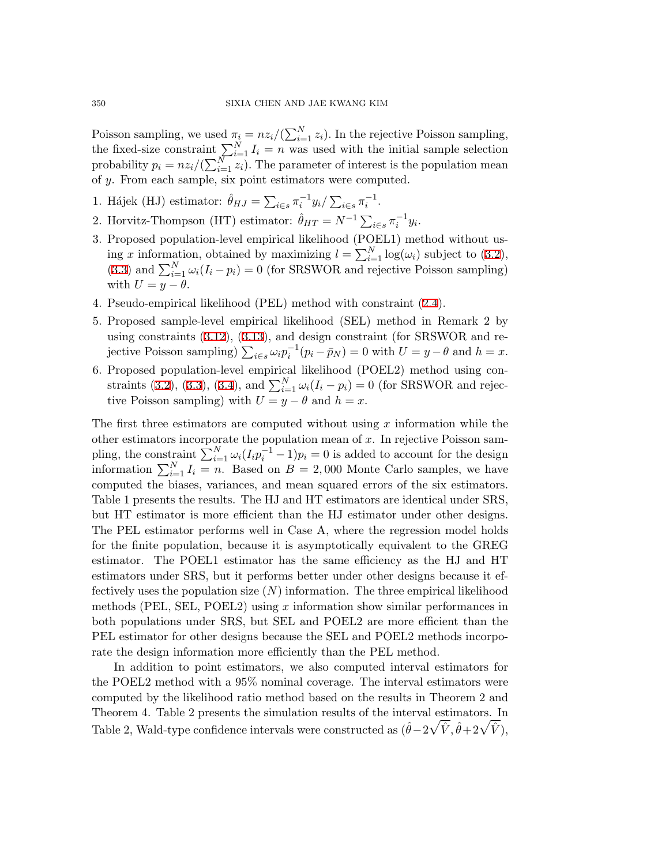Poisson sampling, we used  $\pi_i = nz_i/(\sum_{i=1}^N z_i)$ . In the rejective Poisson sampling, the fixed-size constraint  $\sum_{i=1}^{N} I_i = n$  was used with the initial sample selection probability  $p_i = nz_i/(\sum_{i=1}^{N} z_i)$ . The parameter of interest is the population mean of *y*. From each sample, six point estimators were computed.

- 1. Hájek (HJ) estimator:  $\hat{\theta}_{HJ} = \sum_{i \in s} \pi_i^{-1} y_i / \sum_{i \in s} \pi_i^{-1}$ .
- 2. Horvitz-Thompson (HT) estimator:  $\hat{\theta}_{HT} = N^{-1} \sum_{i \in s} \pi_i^{-1} y_i$ .
- 3. Proposed population-level empirical likelihood (POEL1) method without using *x* information, obtained by maximizing  $l = \sum_{i=1}^{N} \log(\omega_i)$  subject to [\(3.2](#page-4-0)), ([3.3](#page-4-1)) and  $\sum_{i=1}^{N} \omega_i (I_i - p_i) = 0$  (for SRSWOR and rejective Poisson sampling) with  $U = y - \theta$ .
- 4. Pseudo-empirical likelihood (PEL) method with constraint ([2.4\)](#page-2-2).
- 5. Proposed sample-level empirical likelihood (SEL) method in Remark 2 by using constraints ([3.12](#page-8-2)), ([3.13](#page-8-2)), and design constraint (for SRSWOR and rejective Poisson sampling)  $\sum_{i \in S} \omega_i p_i^{-1} (p_i - \bar{p}_N) = 0$  with  $U = y - \theta$  and  $h = x$ .
- 6. Proposed population-level empirical likelihood (POEL2) method using con-straints ([3.2\)](#page-4-0), ([3.3\)](#page-4-1), ([3.4\)](#page-5-0), and  $\sum_{i=1}^{N} \omega_i (I_i - p_i) = 0$  (for SRSWOR and rejective Poisson sampling) with  $U = y - \theta$  and  $h = x$ .

The first three estimators are computed without using *x* information while the other estimators incorporate the population mean of *x*. In rejective Poisson sampling, the constraint  $\sum_{i=1}^{N} \omega_i (I_i p_i^{-1} - 1) p_i = 0$  is added to account for the design information  $\sum_{i=1}^{N} I_i = n$ . Based on *B* = 2,000 Monte Carlo samples, we have computed the biases, variances, and mean squared errors of the six estimators. Table 1 presents the results. The HJ and HT estimators are identical under SRS, but HT estimator is more efficient than the HJ estimator under other designs. The PEL estimator performs well in Case A, where the regression model holds for the finite population, because it is asymptotically equivalent to the GREG estimator. The POEL1 estimator has the same efficiency as the HJ and HT estimators under SRS, but it performs better under other designs because it effectively uses the population size (*N*) information. The three empirical likelihood methods (PEL, SEL, POEL2) using *x* information show similar performances in both populations under SRS, but SEL and POEL2 are more efficient than the PEL estimator for other designs because the SEL and POEL2 methods incorporate the design information more efficiently than the PEL method.

In addition to point estimators, we also computed interval estimators for the POEL2 method with a 95% nominal coverage. The interval estimators were computed by the likelihood ratio method based on the results in Theorem 2 and Theorem 4. Table 2 presents the simulation results of the interval estimators. In Table 2, Wald-type confidence intervals were constructed as  $(\hat{\theta} - 2\sqrt{\hat{V}}, \hat{\theta} + 2\sqrt{\hat{V}})$ ,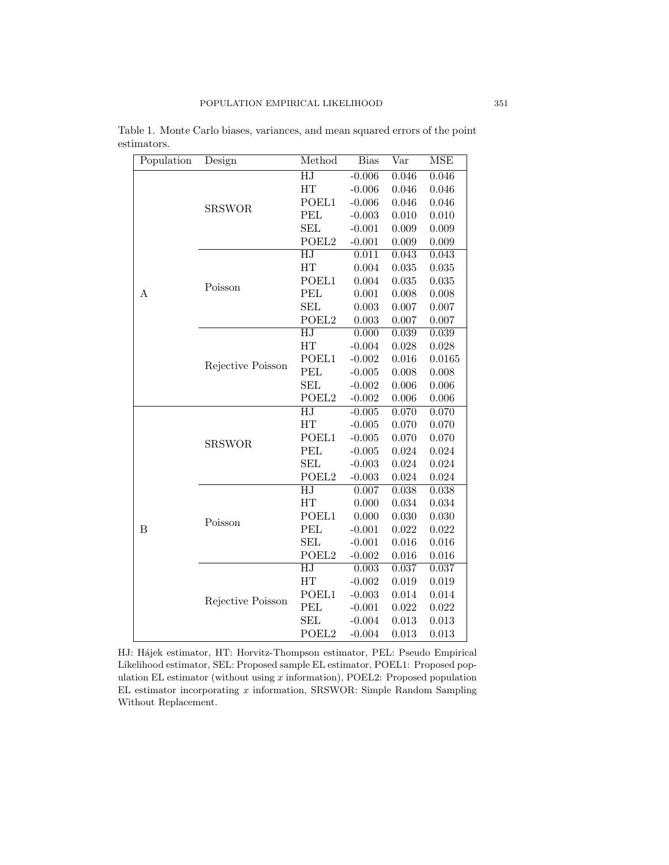| Population | Design            | Method                   | <b>Bias</b> | $\bar{\mathrm{Var}}$ | <b>MSE</b> |
|------------|-------------------|--------------------------|-------------|----------------------|------------|
|            | <b>SRSWOR</b>     | $\overline{\mathrm{HJ}}$ | $-0.006$    | 0.046                | 0.046      |
|            |                   | HT                       | $-0.006$    | 0.046                | 0.046      |
|            |                   | POEL1                    | $-0.006$    | 0.046                | 0.046      |
|            |                   | <b>PEL</b>               | $-0.003$    | 0.010                | 0.010      |
|            |                   | <b>SEL</b>               | $-0.001$    | 0.009                | 0.009      |
|            |                   | POEL <sub>2</sub>        | $-0.001$    | 0.009                | 0.009      |
|            | Poisson           | $\overline{\mathrm{HJ}}$ | 0.011       | 0.043                | 0.043      |
|            |                   | HT                       | 0.004       | 0.035                | 0.035      |
|            |                   | POEL1                    | 0.004       | 0.035                | 0.035      |
| Α          |                   | PEL                      | 0.001       | 0.008                | 0.008      |
|            |                   | <b>SEL</b>               | 0.003       | 0.007                | 0.007      |
|            |                   | POEL <sub>2</sub>        | 0.003       | 0.007                | 0.007      |
|            |                   | $\overline{\mathrm{HJ}}$ | 0.000       | 0.039                | 0.039      |
|            |                   | HT                       | $-0.004$    | 0.028                | 0.028      |
|            | Rejective Poisson | POEL1                    | $-0.002$    | 0.016                | 0.0165     |
|            |                   | <b>PEL</b>               | $-0.005$    | 0.008                | 0.008      |
|            |                   | <b>SEL</b>               | $-0.002$    | 0.006                | 0.006      |
|            |                   | POEL <sub>2</sub>        | $-0.002$    | 0.006                | 0.006      |
|            | <b>SRSWOR</b>     | $\overline{HJ}$          | $-0.005$    | 0.070                | 0.070      |
|            |                   | HT                       | $-0.005$    | 0.070                | 0.070      |
|            |                   | POEL1                    | $-0.005$    | 0.070                | 0.070      |
|            |                   | PEL                      | $-0.005$    | 0.024                | 0.024      |
|            |                   | <b>SEL</b>               | $-0.003$    | 0.024                | 0.024      |
|            |                   | POEL <sub>2</sub>        | $-0.003$    | 0.024                | 0.024      |
|            | Poisson           | HJ                       | 0.007       | 0.038                | 0.038      |
|            |                   | HT                       | 0.000       | 0.034                | 0.034      |
| B          |                   | POEL1                    | 0.000       | 0.030                | 0.030      |
|            |                   | PEL                      | $-0.001$    | 0.022                | 0.022      |
|            |                   | <b>SEL</b>               | $-0.001$    | 0.016                | 0.016      |
|            |                   | POEL <sub>2</sub>        | $-0.002$    | 0.016                | 0.016      |
|            | Rejective Poisson | $\overline{\mathrm{HJ}}$ | 0.003       | 0.037                | 0.037      |
|            |                   | HT                       | $-0.002$    | 0.019                | 0.019      |
|            |                   | POEL1                    | $-0.003$    | 0.014                | 0.014      |
|            |                   | PEL                      | $-0.001$    | 0.022                | 0.022      |
|            |                   | <b>SEL</b>               | $-0.004$    | 0.013                | 0.013      |
|            |                   | POEL <sub>2</sub>        | $-0.004$    | 0.013                | 0.013      |

Table 1. Monte Carlo biases, variances, and mean squared errors of the point estimators.

HJ: Hájek estimator, HT: Horvitz-Thompson estimator, PEL: Pseudo Empirical Likelihood estimator, SEL: Proposed sample EL estimator, POEL1: Proposed population EL estimator (without using *x* information), POEL2: Proposed population EL estimator incorporating *x* information, SRSWOR: Simple Random Sampling Without Replacement.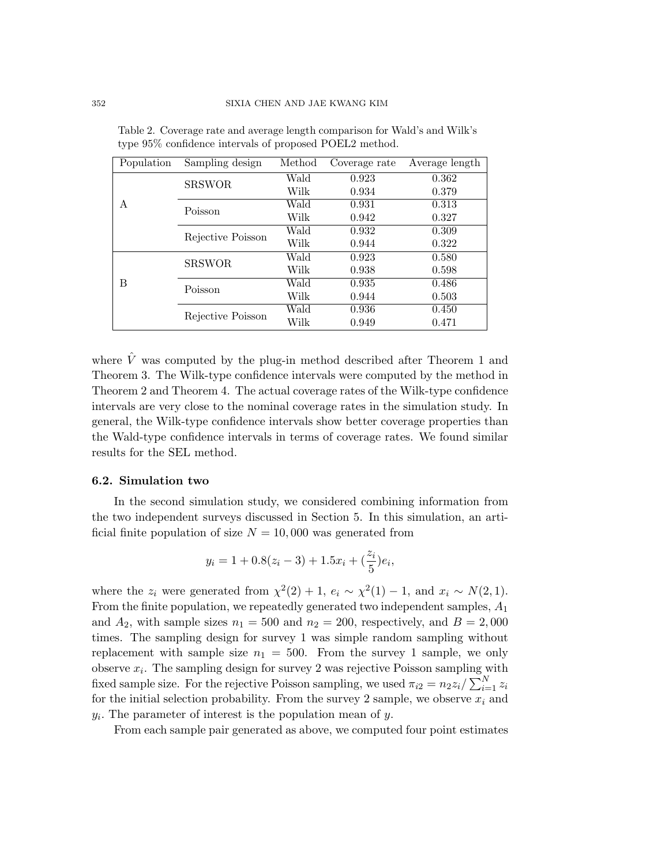| Population | Sampling design   | Method | Coverage rate | Average length |
|------------|-------------------|--------|---------------|----------------|
| A          | <b>SRSWOR</b>     | Wald   | 0.923         | 0.362          |
|            |                   | Wilk   | 0.934         | 0.379          |
|            | Poisson           | Wald   | 0.931         | 0.313          |
|            |                   | Wilk   | 0.942         | 0.327          |
|            | Rejective Poisson | Wald   | 0.932         | 0.309          |
|            |                   | Wilk   | 0.944         | 0.322          |
| B          | <b>SRSWOR</b>     | Wald   | 0.923         | 0.580          |
|            |                   | Wilk   | 0.938         | 0.598          |
|            | Poisson           | Wald   | 0.935         | 0.486          |
|            |                   | Wilk   | 0.944         | 0.503          |
|            | Rejective Poisson | Wald   | 0.936         | 0.450          |
|            |                   | Wilk   | 0.949         | 0.471          |

Table 2. Coverage rate and average length comparison for Wald's and Wilk's type 95% confidence intervals of proposed POEL2 method.

where  $\hat{V}$  was computed by the plug-in method described after Theorem 1 and Theorem 3. The Wilk-type confidence intervals were computed by the method in Theorem 2 and Theorem 4. The actual coverage rates of the Wilk-type confidence intervals are very close to the nominal coverage rates in the simulation study. In general, the Wilk-type confidence intervals show better coverage properties than the Wald-type confidence intervals in terms of coverage rates. We found similar results for the SEL method.

#### **6.2. Simulation two**

In the second simulation study, we considered combining information from the two independent surveys discussed in Section 5. In this simulation, an artificial finite population of size  $N = 10,000$  was generated from

$$
y_i = 1 + 0.8(z_i - 3) + 1.5x_i + \left(\frac{z_i}{5}\right)e_i,
$$

where the  $z_i$  were generated from  $\chi^2(2) + 1$ ,  $e_i \sim \chi^2(1) - 1$ , and  $x_i \sim N(2, 1)$ *.* From the finite population, we repeatedly generated two independent samples, *A*<sup>1</sup> and  $A_2$ , with sample sizes  $n_1 = 500$  and  $n_2 = 200$ , respectively, and  $B = 2,000$ times. The sampling design for survey 1 was simple random sampling without replacement with sample size  $n_1 = 500$ . From the survey 1 sample, we only observe *x<sup>i</sup>* . The sampling design for survey 2 was rejective Poisson sampling with fixed sample size. For the rejective Poisson sampling, we used  $\pi_{i2} = n_2 z_i / \sum_{i=1}^{N} z_i$ for the initial selection probability. From the survey 2 sample, we observe  $x_i$  and *yi .* The parameter of interest is the population mean of *y*.

From each sample pair generated as above, we computed four point estimates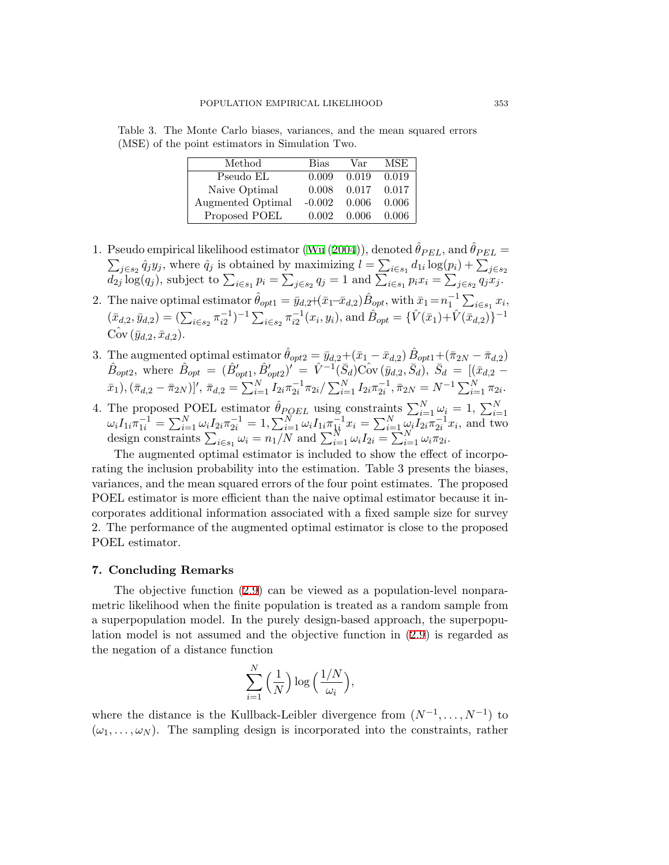Table 3. The Monte Carlo biases, variances, and the mean squared errors (MSE) of the point estimators in Simulation Two.

| Method            | Bias     | Var   | MSE.  |
|-------------------|----------|-------|-------|
| Pseudo EL         | 0.009    | 0.019 | 0.019 |
| Naive Optimal     | 0.008    | 0.017 | 0.017 |
| Augmented Optimal | $-0.002$ | 0.006 | 0.006 |
| Proposed POEL     | 0.002    | 0.006 | 0.006 |

- 1. Pseudo empirical likelihood estimator ([Wu](#page-20-18) [\(2004\)](#page-20-18)), denoted  $\hat{\theta}_{PEL}$ , and  $\hat{\theta}_{PEL}$  =  $\sum_{j \in s_2} \hat{q}_j y_j$ , where  $\hat{q}_j$  is obtained by maximizing  $l = \sum_{i \in s_1} d_{1i} \log(p_i) + \sum_{j \in s_2} d_{2j} \log(q_j)$ , subject to  $\sum_{i \in s_1} p_i = \sum_{j \in s_2} q_j = 1$  and  $\sum_{i \in s_1} p_i x_i = \sum_{j \in s_2} q_j x_j$ .
- 2. The naive optimal estimator  $\hat{\theta}_{opt1} = \bar{y}_{d,2}+(\bar{x}_1-\bar{x}_{d,2})\hat{B}_{opt}$ , with  $\bar{x}_1 = n_1^{-1} \sum_{i \in s_1} x_i$ ,  $(\bar{x}_{d,2}, \bar{y}_{d,2}) = (\sum_{i \in s_2} \pi_{i2}^{-1})^{-1} \sum_{i \in s_2} \pi_{i2}^{-1}(x_i, y_i)$ , and  $\hat{B}_{opt} = {\hat{V}(\bar{x}_1) + \hat{V}(\bar{x}_{d,2})}^{-1}$  $Cov(\bar{y}_{d,2}, \bar{x}_{d,2}).$
- 3. The augmented optimal estimator  $\hat{\theta}_{opt2} = \bar{y}_{d,2} + (\bar{x}_1 \bar{x}_{d,2}) \hat{B}_{opt1} + (\bar{\pi}_{2N} \bar{\pi}_{d,2})$  $\hat{B}_{opt2}$ , where  $\hat{B}_{opt} = (\hat{B}'_{opt1}, \hat{B}'_{opt2})' = \hat{V}^{-1}(\bar{S}_d)\hat{\text{Cov}}(\bar{y}_{d,2}, \bar{S}_d), \ \bar{S}_d = [(\bar{x}_{d,2} - \bar{x}_{d,2})]$  $(\bar{x}_1), (\bar{\pi}_{d,2}-\bar{\pi}_{2N})]'$ ,  $\bar{\pi}_{d,2}=\sum_{i=1}^N I_{2i} \pi_{2i}^{-1} \pi_{2i} / \sum_{i=1}^N I_{2i} \pi_{2i}^{-1}, \bar{\pi}_{2N}=N^{-1} \sum_{i=1}^N \pi_{2i}.$
- 4. The proposed POEL estimator  $\hat{\theta}_{POEL}$  using constraints  $\sum_{i=1}^{N} \omega_i = 1$ ,  $\sum_{i=1}^{N} \omega_i I_{1i} \pi_{1i}^{-1} = \sum_{i=1}^{N} \omega_i I_{2i} \pi_{2i}^{-1} = 1$ ,  $\sum_{i=1}^{N} \omega_i I_{1i} \pi_{1i}^{-1} x_i = \sum_{i=1}^{N} \omega_i I_{2i} \pi_{2i}^{-1} x_i$ , and two design constraints  $\sum_{i \in s_1} \omega_i = \frac{n_1}{N}$  and  $\sum_{i=1}^{N} \omega_i I_{2i} = \sum_{i=1}^{N} \omega_i \pi_{2i}$ .

The augmented optimal estimator is included to show the effect of incorporating the inclusion probability into the estimation. Table 3 presents the biases, variances, and the mean squared errors of the four point estimates. The proposed POEL estimator is more efficient than the naive optimal estimator because it incorporates additional information associated with a fixed sample size for survey 2. The performance of the augmented optimal estimator is close to the proposed POEL estimator.

## **7. Concluding Remarks**

The objective function ([2.9](#page-3-2)) can be viewed as a population-level nonparametric likelihood when the finite population is treated as a random sample from a superpopulation model. In the purely design-based approach, the superpopulation model is not assumed and the objective function in [\(2.9](#page-3-2)) is regarded as the negation of a distance function

$$
\sum_{i=1}^{N} \left(\frac{1}{N}\right) \log \left(\frac{1/N}{\omega_i}\right),\,
$$

where the distance is the Kullback-Leibler divergence from  $(N^{-1}, \ldots, N^{-1})$  to  $(\omega_1, \ldots, \omega_N)$ . The sampling design is incorporated into the constraints, rather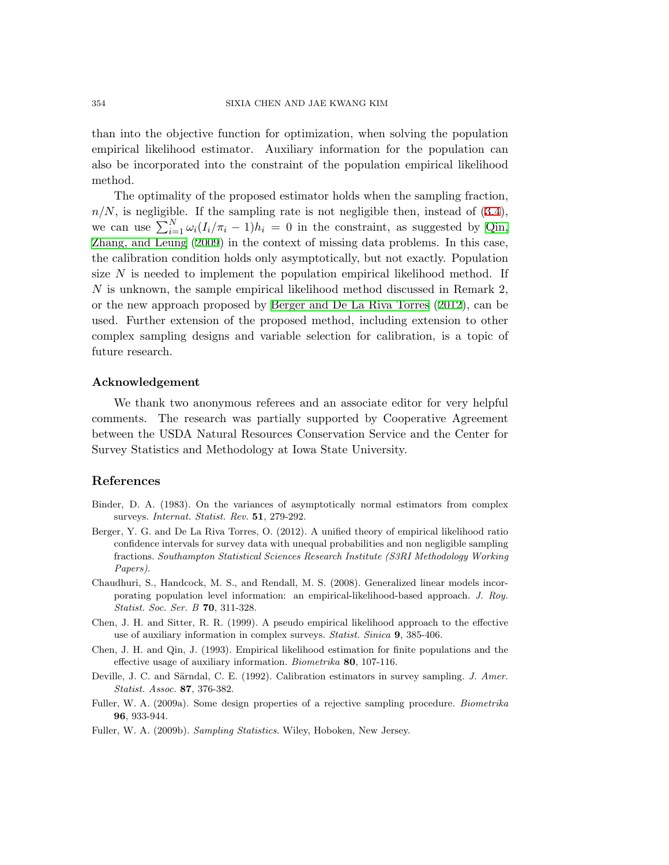than into the objective function for optimization, when solving the population empirical likelihood estimator. Auxiliary information for the population can also be incorporated into the constraint of the population empirical likelihood method.

The optimality of the proposed estimator holds when the sampling fraction,  $n/N$ , is negligible. If the sampling rate is not negligible then, instead of  $(3.4)$  $(3.4)$  $(3.4)$ , we can use  $\sum_{i=1}^{N} \omega_i (I_i/\pi_i - 1) h_i = 0$  in the constraint, as suggested by [Qin,](#page-20-23) [Zhang, and Leung](#page-20-23) [\(2009\)](#page-20-23) in the context of missing data problems. In this case, the calibration condition holds only asymptotically, but not exactly. Population size *N* is needed to implement the population empirical likelihood method. If *N* is unknown, the sample empirical likelihood method discussed in Remark 2, or the new approach proposed by [Berger and De La Riva Torres](#page-19-7) [\(2012\)](#page-19-7), can be used. Further extension of the proposed method, including extension to other complex sampling designs and variable selection for calibration, is a topic of future research.

## **Acknowledgement**

We thank two anonymous referees and an associate editor for very helpful comments. The research was partially supported by Cooperative Agreement between the USDA Natural Resources Conservation Service and the Center for Survey Statistics and Methodology at Iowa State University.

# **References**

- <span id="page-19-4"></span>Binder, D. A. (1983). On the variances of asymptotically normal estimators from complex surveys. *Internat. Statist. Rev.* **51**, 279-292.
- <span id="page-19-7"></span>Berger, Y. G. and De La Riva Torres, O. (2012). A unified theory of empirical likelihood ratio confidence intervals for survey data with unequal probabilities and non negligible sampling fractions. *Southampton Statistical Sciences Research Institute (S3RI Methodology Working Papers)*.
- <span id="page-19-2"></span>Chaudhuri, S., Handcock, M. S., and Rendall, M. S. (2008). Generalized linear models incorporating population level information: an empirical-likelihood-based approach. *J. Roy. Statist. Soc. Ser. B* **70**, 311-328.
- <span id="page-19-0"></span>Chen, J. H. and Sitter, R. R. (1999). A pseudo empirical likelihood approach to the effective use of auxiliary information in complex surveys. *Statist. Sinica* **9**, 385-406.
- <span id="page-19-1"></span>Chen, J. H. and Qin, J. (1993). Empirical likelihood estimation for finite populations and the effective usage of auxiliary information. *Biometrika* **80**, 107-116.
- <span id="page-19-5"></span>Deville, J. C. and Särndal, C. E. (1992). Calibration estimators in survey sampling. *J. Amer. Statist. Assoc.* **87**, 376-382.
- <span id="page-19-3"></span>Fuller, W. A. (2009a). Some design properties of a rejective sampling procedure. *Biometrika* **96**, 933-944.
- <span id="page-19-6"></span>Fuller, W. A. (2009b). *Sampling Statistics*. Wiley, Hoboken, New Jersey.